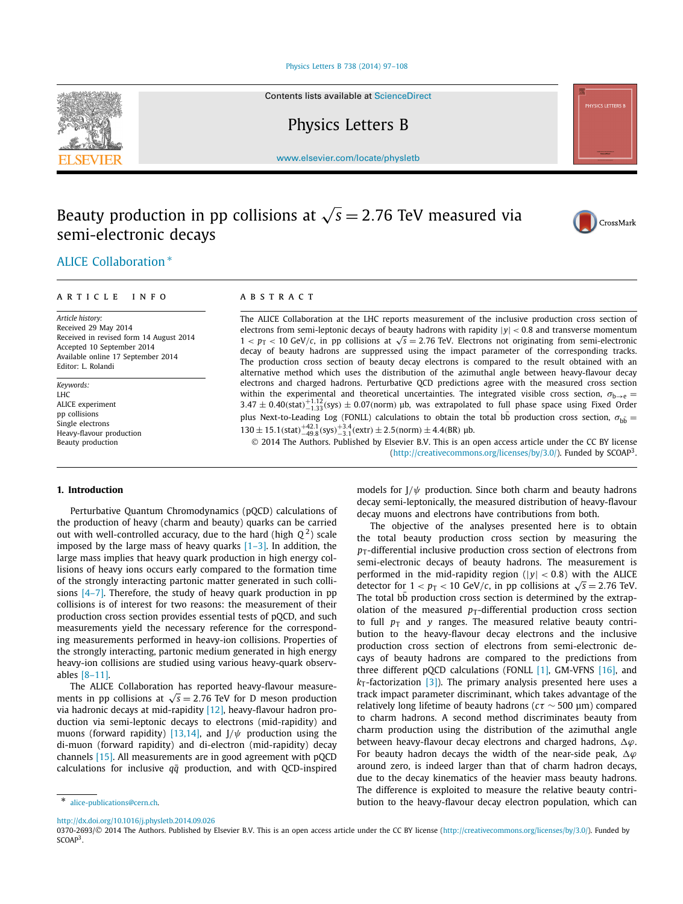#### [Physics Letters B 738 \(2014\) 97–108](http://dx.doi.org/10.1016/j.physletb.2014.09.026)



Contents lists available at [ScienceDirect](http://www.ScienceDirect.com/)

Physics Letters B

[www.elsevier.com/locate/physletb](http://www.elsevier.com/locate/physletb)



# Beauty production in pp collisions at  $\sqrt{s} = 2.76$  TeV measured via semi-electronic decays



## .ALICE [Collaboration](#page-7-0) ∗

#### A R T I C L E I N F O A B S T R A C T

*Article history:* Received 29 May 2014 Received in revised form 14 August 2014 Accepted 10 September 2014 Available online 17 September 2014 Editor: L. Rolandi

*Keywords:* LHC ALICE experiment pp collisions Single electrons Heavy-flavour production Beauty production

The ALICE Collaboration at the LHC reports measurement of the inclusive production cross section of electrons from semi-leptonic decays of beauty hadrons with rapidity |*y*| *<* 0*.*8 and transverse momentum  $1 < p_T < 10$  GeV/*c*, in pp collisions at  $\sqrt{s} = 2.76$  TeV. Electrons not originating from semi-electronic decay of beauty hadrons are suppressed using the impact parameter of the corresponding tracks. The production cross section of beauty decay electrons is compared to the result obtained with an alternative method which uses the distribution of the azimuthal angle between heavy-flavour decay electrons and charged hadrons. Perturbative QCD predictions agree with the measured cross section within the experimental and theoretical uncertainties. The integrated visible cross section,  $\sigma_{b\rightarrow e}$  =  $3.47 \pm 0.40$ (stat) $^{+1.12}_{-1.33}$ (sys)  $\pm 0.07$ (norm) µb, was extrapolated to full phase space using Fixed Order plus Next-to-Leading Log (FONLL) calculations to obtain the total bb production cross section,  $\sigma_{\rm b\bar{b}} =$  $130 \pm 15.1$  $(\text{stat})_{-49.8}^{+42.1}$  $(\text{sys})_{-3.1}^{+3.4}$  $(\text{extr}) \pm 2.5$  $(\text{norm}) \pm 4.4$  $(\text{BR})$   $\mu$ b.

© 2014 The Authors. Published by Elsevier B.V. This is an open access article under the CC BY license [\(http://creativecommons.org/licenses/by/3.0/\)](http://creativecommons.org/licenses/by/3.0/). Funded by SCOAP3.

#### **1. Introduction**

Perturbative Quantum Chromodynamics (pQCD) calculations of the production of heavy (charm and beauty) quarks can be carried out with well-controlled accuracy, due to the hard (high  $Q^2$ ) scale imposed by the large mass of heavy quarks  $[1-3]$ . In addition, the large mass implies that heavy quark production in high energy collisions of heavy ions occurs early compared to the formation time of the strongly interacting partonic matter generated in such collisions  $[4-7]$ . Therefore, the study of heavy quark production in pp collisions is of interest for two reasons: the measurement of their production cross section provides essential tests of pQCD, and such measurements yield the necessary reference for the corresponding measurements performed in heavy-ion collisions. Properties of the strongly interacting, partonic medium generated in high energy heavy-ion collisions are studied using various heavy-quark observables [\[8–11\].](#page-6-0)

The ALICE Collaboration has reported heavy-flavour measurements in pp collisions at  $\sqrt{s}$  = 2.76 TeV for D meson production via hadronic decays at mid-rapidity [\[12\],](#page-6-0) heavy-flavour hadron production via semi-leptonic decays to electrons (mid-rapidity) and muons (forward rapidity) [\[13,14\],](#page-6-0) and J*/ψ* production using the di-muon (forward rapidity) and di-electron (mid-rapidity) decay channels [\[15\].](#page-6-0) All measurements are in good agreement with pQCD calculations for inclusive  $q\bar{q}$  production, and with QCD-inspired

The objective of the analyses presented here is to obtain the total beauty production cross section by measuring the  $p_T$ -differential inclusive production cross section of electrons from semi-electronic decays of beauty hadrons. The measurement is performed in the mid-rapidity region (|*y*| *<* 0*.*8) with the ALICE detector for  $1 < p_T < 10$  GeV/*c*, in pp collisions at  $\sqrt{s} = 2.76$  TeV. The total bb production cross section is determined by the extrapolation of the measured  $p_T$ -differential production cross section to full  $p_T$  and *y* ranges. The measured relative beauty contribution to the heavy-flavour decay electrons and the inclusive production cross section of electrons from semi-electronic decays of beauty hadrons are compared to the predictions from three different pQCD calculations (FONLL [\[1\],](#page-6-0) GM-VFNS [\[16\],](#page-6-0) and  $k<sub>T</sub>$ -factorization [\[3\]\)](#page-6-0). The primary analysis presented here uses a track impact parameter discriminant, which takes advantage of the relatively long lifetime of beauty hadrons (*cτ* ∼ 500 μm) compared to charm hadrons. A second method discriminates beauty from charm production using the distribution of the azimuthal angle between heavy-flavour decay electrons and charged hadrons, *ϕ*. For beauty hadron decays the width of the near-side peak, *ϕ* around zero, is indeed larger than that of charm hadron decays, due to the decay kinematics of the heavier mass beauty hadrons. The difference is exploited to measure the relative beauty contribution to the heavy-flavour decay electron population, which can

models for J*/ψ* production. Since both charm and beauty hadrons decay semi-leptonically, the measured distribution of heavy-flavour decay muons and electrons have contributions from both.

<sup>\*</sup> [alice-publications@cern.ch.](mailto:alice-publications@cern.ch)

<http://dx.doi.org/10.1016/j.physletb.2014.09.026>

<sup>0370-2693/© 2014</sup> The Authors. Published by Elsevier B.V. This is an open access article under the CC BY license [\(http://creativecommons.org/licenses/by/3.0/\)](http://creativecommons.org/licenses/by/3.0/). Funded by SCOAP<sup>3</sup>.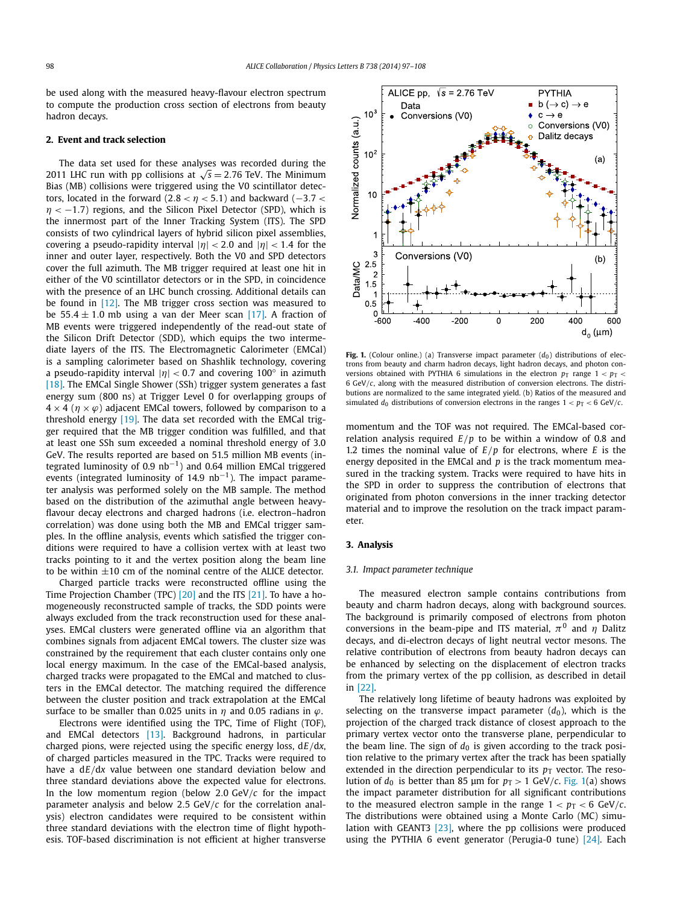<span id="page-1-0"></span>be used along with the measured heavy-flavour electron spectrum to compute the production cross section of electrons from beauty hadron decays.

#### **2. Event and track selection**

The data set used for these analyses was recorded during the 2011 LHC run with pp collisions at  $\sqrt{s} = 2.76$  TeV. The Minimum Bias (MB) collisions were triggered using the V0 scintillator detectors, located in the forward (2.8  $< \eta < 5.1$ ) and backward ( $-3.7 <$ *η* < −1.7) regions, and the Silicon Pixel Detector (SPD), which is the innermost part of the Inner Tracking System (ITS). The SPD consists of two cylindrical layers of hybrid silicon pixel assemblies, covering <sup>a</sup> pseudo-rapidity interval |*η*| *<* <sup>2</sup>*.*0 and |*η*| *<* <sup>1</sup>*.*4 for the inner and outer layer, respectively. Both the V0 and SPD detectors cover the full azimuth. The MB trigger required at least one hit in either of the V0 scintillator detectors or in the SPD, in coincidence with the presence of an LHC bunch crossing. Additional details can be found in  $[12]$ . The MB trigger cross section was measured to be 55.4  $\pm$  1.0 mb using a van der Meer scan [\[17\].](#page-6-0) A fraction of MB events were triggered independently of the read-out state of the Silicon Drift Detector (SDD), which equips the two intermediate layers of the ITS. The Electromagnetic Calorimeter (EMCal) is a sampling calorimeter based on Shashlik technology, covering <sup>a</sup> pseudo-rapidity interval |*η*| *<* <sup>0</sup>*.*7 and covering <sup>100</sup>◦ in azimuth [\[18\].](#page-6-0) The EMCal Single Shower (SSh) trigger system generates a fast energy sum (800 ns) at Trigger Level 0 for overlapping groups of  $4 \times 4$  ( $\eta \times \varphi$ ) adjacent EMCal towers, followed by comparison to a threshold energy [\[19\].](#page-6-0) The data set recorded with the EMCal trigger required that the MB trigger condition was fulfilled, and that at least one SSh sum exceeded a nominal threshold energy of 3.0 GeV. The results reported are based on 51.5 million MB events (integrated luminosity of 0.9  $nb^{-1}$ ) and 0.64 million EMCal triggered events (integrated luminosity of 14.9 nb<sup>-1</sup>). The impact parameter analysis was performed solely on the MB sample. The method based on the distribution of the azimuthal angle between heavyflavour decay electrons and charged hadrons (i.e. electron–hadron correlation) was done using both the MB and EMCal trigger samples. In the offline analysis, events which satisfied the trigger conditions were required to have a collision vertex with at least two tracks pointing to it and the vertex position along the beam line to be within  $\pm 10$  cm of the nominal centre of the ALICE detector.

Charged particle tracks were reconstructed offline using the Time Projection Chamber (TPC) [\[20\]](#page-6-0) and the ITS [\[21\].](#page-6-0) To have a homogeneously reconstructed sample of tracks, the SDD points were always excluded from the track reconstruction used for these analyses. EMCal clusters were generated offline via an algorithm that combines signals from adjacent EMCal towers. The cluster size was constrained by the requirement that each cluster contains only one local energy maximum. In the case of the EMCal-based analysis, charged tracks were propagated to the EMCal and matched to clusters in the EMCal detector. The matching required the difference between the cluster position and track extrapolation at the EMCal surface to be smaller than 0.025 units in *η* and 0.05 radians in *ϕ*.

Electrons were identified using the TPC, Time of Flight (TOF), and EMCal detectors [\[13\].](#page-6-0) Background hadrons, in particular charged pions, were rejected using the specific energy loss, d*E/*d*x*, of charged particles measured in the TPC. Tracks were required to have a d*E/*d*x* value between one standard deviation below and three standard deviations above the expected value for electrons. In the low momentum region (below 2*.*0 GeV*/c* for the impact parameter analysis and below 2*.*5 GeV*/c* for the correlation analysis) electron candidates were required to be consistent within three standard deviations with the electron time of flight hypothesis. TOF-based discrimination is not efficient at higher transverse



Fig. 1. (Colour online.) (a) Transverse impact parameter  $(d_0)$  distributions of electrons from beauty and charm hadron decays, light hadron decays, and photon conversions obtained with PYTHIA 6 simulations in the electron  $p_T$  range  $1 < p_T <$ 6 GeV*/c*, along with the measured distribution of conversion electrons. The distributions are normalized to the same integrated yield. (b) Ratios of the measured and simulated *d*<sub>0</sub> distributions of conversion electrons in the ranges  $1 < p<sub>T</sub> < 6$  GeV/*c*.

momentum and the TOF was not required. The EMCal-based correlation analysis required *E/p* to be within a window of 0.8 and 1.2 times the nominal value of  $E/p$  for electrons, where *E* is the energy deposited in the EMCal and *p* is the track momentum measured in the tracking system. Tracks were required to have hits in the SPD in order to suppress the contribution of electrons that originated from photon conversions in the inner tracking detector material and to improve the resolution on the track impact parameter.

#### **3. Analysis**

#### *3.1. Impact parameter technique*

The measured electron sample contains contributions from beauty and charm hadron decays, along with background sources. The background is primarily composed of electrons from photon conversions in the beam-pipe and ITS material,  $\pi^0$  and *η* Dalitz decays, and di-electron decays of light neutral vector mesons. The relative contribution of electrons from beauty hadron decays can be enhanced by selecting on the displacement of electron tracks from the primary vertex of the pp collision, as described in detail in [\[22\].](#page-6-0)

The relatively long lifetime of beauty hadrons was exploited by selecting on the transverse impact parameter  $(d_0)$ , which is the projection of the charged track distance of closest approach to the primary vertex vector onto the transverse plane, perpendicular to the beam line. The sign of  $d_0$  is given according to the track position relative to the primary vertex after the track has been spatially extended in the direction perpendicular to its  $p_T$  vector. The resolution of  $d_0$  is better than 85 µm for  $p_T > 1$  GeV/*c*. Fig. 1(a) shows the impact parameter distribution for all significant contributions to the measured electron sample in the range  $1 < p_T < 6$  GeV/*c*. The distributions were obtained using a Monte Carlo (MC) simulation with GEANT3  $[23]$ , where the pp collisions were produced using the PYTHIA 6 event generator (Perugia-0 tune) [\[24\].](#page-6-0) Each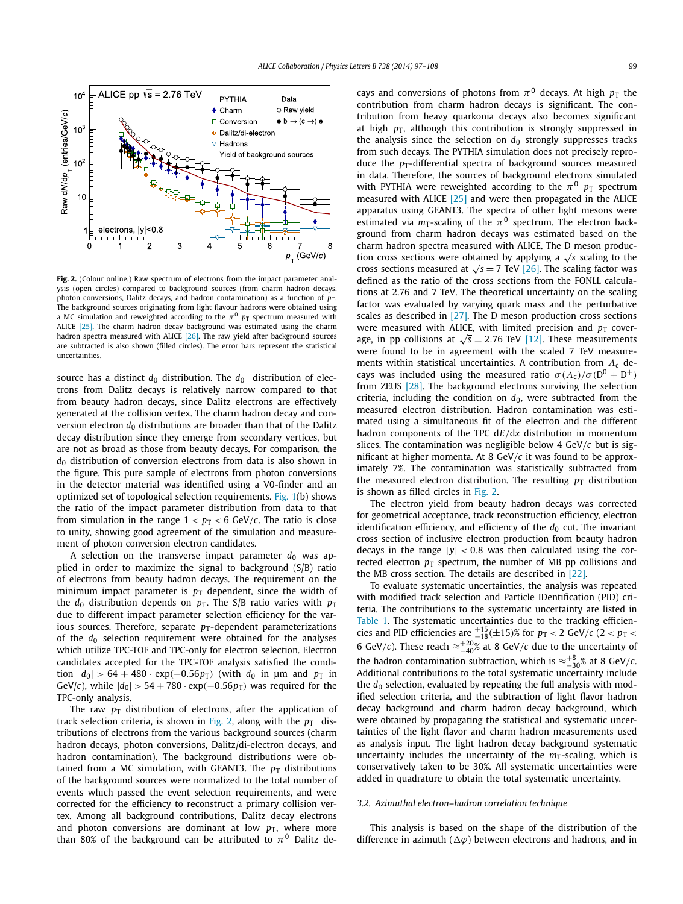

**Fig. 2.** (Colour online.) Raw spectrum of electrons from the impact parameter analysis (open circles) compared to background sources (from charm hadron decays, photon conversions, Dalitz decays, and hadron contamination) as a function of  $p_T$ . The background sources originating from light flavour hadrons were obtained using a MC simulation and reweighted according to the  $\pi^0$   $p_T$  spectrum measured with ALICE [\[25\].](#page-6-0) The charm hadron decay background was estimated using the charm hadron spectra measured with ALICE [\[26\].](#page-6-0) The raw yield after background sources are subtracted is also shown (filled circles). The error bars represent the statistical uncertainties.

source has a distinct  $d_0$  distribution. The  $d_0$  distribution of electrons from Dalitz decays is relatively narrow compared to that from beauty hadron decays, since Dalitz electrons are effectively generated at the collision vertex. The charm hadron decay and conversion electron  $d_0$  distributions are broader than that of the Dalitz decay distribution since they emerge from secondary vertices, but are not as broad as those from beauty decays. For comparison, the *d*<sup>0</sup> distribution of conversion electrons from data is also shown in the figure. This pure sample of electrons from photon conversions in the detector material was identified using a V0-finder and an optimized set of topological selection requirements. [Fig. 1\(](#page-1-0)b) shows the ratio of the impact parameter distribution from data to that from simulation in the range  $1 < p<sub>T</sub> < 6$  GeV/*c*. The ratio is close to unity, showing good agreement of the simulation and measurement of photon conversion electron candidates.

A selection on the transverse impact parameter  $d_0$  was applied in order to maximize the signal to background (S/B) ratio of electrons from beauty hadron decays. The requirement on the minimum impact parameter is  $p_T$  dependent, since the width of the  $d_0$  distribution depends on  $p_T$ . The S/B ratio varies with  $p_T$ due to different impact parameter selection efficiency for the various sources. Therefore, separate  $p_T$ -dependent parameterizations of the  $d_0$  selection requirement were obtained for the analyses which utilize TPC-TOF and TPC-only for electron selection. Electron candidates accepted for the TPC-TOF analysis satisfied the condition  $|d_0| > 64 + 480 \cdot \exp(-0.56p_T)$  (with  $d_0$  in µm and  $p_T$  in GeV/*c*), while  $|d_0| > 54 + 780 \cdot \exp(-0.56p_T)$  was required for the TPC-only analysis.

The raw  $p_T$  distribution of electrons, after the application of track selection criteria, is shown in Fig. 2, along with the  $p<sub>T</sub>$  distributions of electrons from the various background sources (charm hadron decays, photon conversions, Dalitz/di-electron decays, and hadron contamination). The background distributions were obtained from a MC simulation, with GEANT3. The  $p_T$  distributions of the background sources were normalized to the total number of events which passed the event selection requirements, and were corrected for the efficiency to reconstruct a primary collision vertex. Among all background contributions, Dalitz decay electrons and photon conversions are dominant at low  $p<sub>T</sub>$ , where more than 80% of the background can be attributed to  $\pi^0$  Dalitz decays and conversions of photons from  $\pi^0$  decays. At high  $p_T$  the contribution from charm hadron decays is significant. The contribution from heavy quarkonia decays also becomes significant at high  $p_T$ , although this contribution is strongly suppressed in the analysis since the selection on  $d_0$  strongly suppresses tracks from such decays. The PYTHIA simulation does not precisely reproduce the  $p_T$ -differential spectra of background sources measured in data. Therefore, the sources of background electrons simulated with PYTHIA were reweighted according to the  $\pi^0$   $p_T$  spectrum measured with ALICE [\[25\]](#page-6-0) and were then propagated in the ALICE apparatus using GEANT3. The spectra of other light mesons were estimated via  $m<sub>T</sub>$ -scaling of the  $\pi<sup>0</sup>$  spectrum. The electron background from charm hadron decays was estimated based on the charm hadron spectra measured with ALICE. The D meson production cross sections were obtained by applying <sup>a</sup> √*<sup>s</sup>* scaling to the cross sections measured at  $\sqrt{s}$  = 7 TeV [\[26\].](#page-6-0) The scaling factor was defined as the ratio of the cross sections from the FONLL calculations at 2.76 and 7 TeV. The theoretical uncertainty on the scaling factor was evaluated by varying quark mass and the perturbative scales as described in [\[27\].](#page-6-0) The D meson production cross sections were measured with ALICE, with limited precision and  $p_T$  coverage, in pp collisions at  $\sqrt{s}$  = 2.76 TeV [\[12\].](#page-6-0) These measurements were found to be in agreement with the scaled 7 TeV measurements within statistical uncertainties. A contribution from *Λ<sub>c</sub>* decays was included using the measured ratio  $\sigma(\Lambda_c)/\sigma(D^0 + D^+)$ from ZEUS [\[28\].](#page-6-0) The background electrons surviving the selection criteria, including the condition on  $d_0$ , were subtracted from the measured electron distribution. Hadron contamination was estimated using a simultaneous fit of the electron and the different hadron components of the TPC d*E/*d*x* distribution in momentum slices. The contamination was negligible below 4 GeV*/c* but is significant at higher momenta. At 8 GeV*/c* it was found to be approximately 7%. The contamination was statistically subtracted from the measured electron distribution. The resulting  $p<sub>T</sub>$  distribution is shown as filled circles in Fig. 2.

The electron yield from beauty hadron decays was corrected for geometrical acceptance, track reconstruction efficiency, electron identification efficiency, and efficiency of the  $d_0$  cut. The invariant cross section of inclusive electron production from beauty hadron decays in the range  $|y| < 0.8$  was then calculated using the corrected electron  $p<sub>T</sub>$  spectrum, the number of MB pp collisions and the MB cross section. The details are described in [\[22\].](#page-6-0)

To evaluate systematic uncertainties, the analysis was repeated with modified track selection and Particle IDentification (PID) criteria. The contributions to the systematic uncertainty are listed in [Table 1.](#page-3-0) The systematic uncertainties due to the tracking efficiencies and PID efficiencies are  $^{+15}_{-18}(\pm 15)\%$  for  $p_T < 2$  GeV/*c* (2  $< p_T <$ 6 GeV/*c*). These reach  $\approx_{-40}^{+20\%}$  at 8 GeV/*c* due to the uncertainty of the hadron contamination subtraction, which is  $\approx_{-30}^{+8}$ % at 8 GeV/*c*. Additional contributions to the total systematic uncertainty include the  $d_0$  selection, evaluated by repeating the full analysis with modified selection criteria, and the subtraction of light flavor hadron decay background and charm hadron decay background, which were obtained by propagating the statistical and systematic uncertainties of the light flavor and charm hadron measurements used as analysis input. The light hadron decay background systematic uncertainty includes the uncertainty of the  $m<sub>T</sub>$ -scaling, which is conservatively taken to be 30%. All systematic uncertainties were added in quadrature to obtain the total systematic uncertainty.

#### *3.2. Azimuthal electron–hadron correlation technique*

This analysis is based on the shape of the distribution of the difference in azimuth (*ϕ*) between electrons and hadrons, and in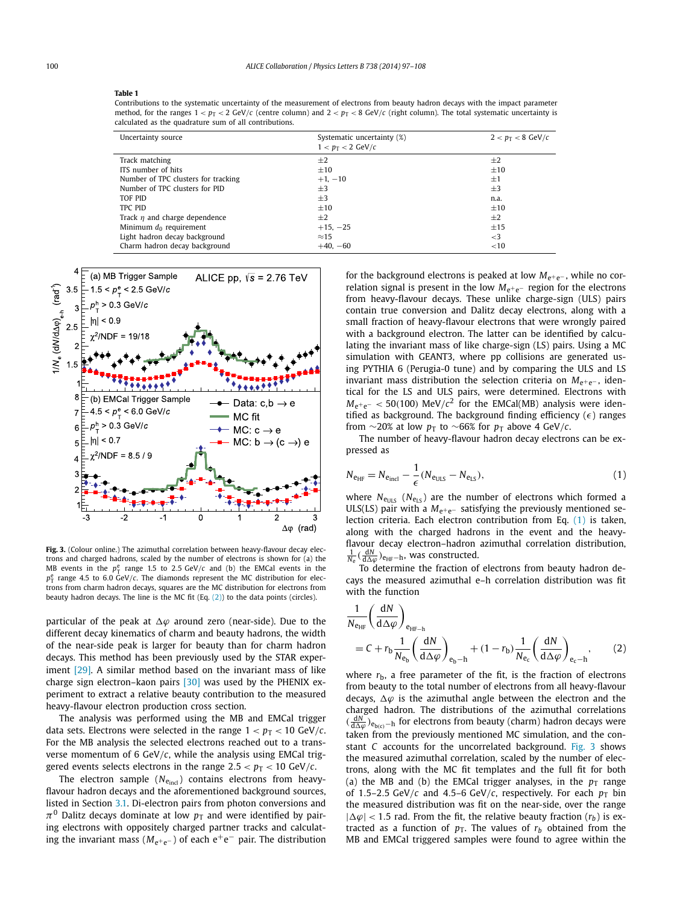#### <span id="page-3-0"></span>**Table 1**

Contributions to the systematic uncertainty of the measurement of electrons from beauty hadron decays with the impact parameter method, for the ranges  $1 < p_T < 2$  GeV/*c* (centre column) and  $2 < p_T < 8$  GeV/*c* (right column). The total systematic uncertainty is calculated as the quadrature sum of all contributions.

| Uncertainty source                  | Systematic uncertainty (%)<br>$1 < p_T < 2$ GeV/c | $2 < p_T < 8$ GeV/c |
|-------------------------------------|---------------------------------------------------|---------------------|
| Track matching                      | $+2$                                              | $\pm 2$             |
| ITS number of hits                  | $\pm 10$                                          | $+10$               |
| Number of TPC clusters for tracking | $+1. -10$                                         | $+1$                |
| Number of TPC clusters for PID      | $+3$                                              | $+3$                |
| TOF PID                             | $+3$                                              | n.a.                |
| TPC PID                             | $+10^{-}$                                         | $+10^{-}$           |
| Track $\eta$ and charge dependence  | $+2$                                              | $+2$                |
| Minimum $d_0$ requirement           | $+15, -25$                                        | $+15$               |
| Light hadron decay background       | $\approx$ 15                                      | $<$ 3               |
| Charm hadron decay background       | $+40, -60$                                        | $<$ 10              |



Fig. 3. (Colour online.) The azimuthal correlation between heavy-flavour decay electrons and charged hadrons, scaled by the number of electrons is shown for (a) the MB events in the  $p_T^e$  range 1.5 to 2.5 GeV/ $c$  and (b) the EMCal events in the *p*e <sup>T</sup> range 4.5 to 6*.*0 GeV*/c*. The diamonds represent the MC distribution for electrons from charm hadron decays, squares are the MC distribution for electrons from beauty hadron decays. The line is the MC fit (Eq. (2)) to the data points (circles).

particular of the peak at *ϕ* around zero (near-side). Due to the different decay kinematics of charm and beauty hadrons, the width of the near-side peak is larger for beauty than for charm hadron decays. This method has been previously used by the STAR exper-iment [\[29\].](#page-6-0) A similar method based on the invariant mass of like charge sign electron–kaon pairs [\[30\]](#page-6-0) was used by the PHENIX experiment to extract a relative beauty contribution to the measured heavy-flavour electron production cross section.

The analysis was performed using the MB and EMCal trigger data sets. Electrons were selected in the range  $1 < p_T < 10$  GeV/*c*. For the MB analysis the selected electrons reached out to a transverse momentum of 6 GeV*/c*, while the analysis using EMCal triggered events selects electrons in the range  $2.5 < p_T < 10$  GeV/*c*.

The electron sample  $(N_{e_{incl}})$  contains electrons from heavyflavour hadron decays and the aforementioned background sources, listed in Section [3.1.](#page-1-0) Di-electron pairs from photon conversions and  $\pi^0$  Dalitz decays dominate at low  $p_T$  and were identified by pairing electrons with oppositely charged partner tracks and calculating the invariant mass ( $M_{e^+e^-}$ ) of each  $e^+e^-$  pair. The distribution for the background electrons is peaked at low *M*<sub>e+e−</sub>, while no correlation signal is present in the low *M*<sub>e+e</sub>– region for the electrons from heavy-flavour decays. These unlike charge-sign (ULS) pairs contain true conversion and Dalitz decay electrons, along with a small fraction of heavy-flavour electrons that were wrongly paired with a background electron. The latter can be identified by calculating the invariant mass of like charge-sign (LS) pairs. Using a MC simulation with GEANT3, where pp collisions are generated using PYTHIA 6 (Perugia-0 tune) and by comparing the ULS and LS invariant mass distribution the selection criteria on *M*<sub>e+e</sub>−, identical for the LS and ULS pairs, were determined. Electrons with *M*e+e<sup>−</sup> *<* 50*(*100*)* MeV*/c*<sup>2</sup> for the EMCal(MB) analysis were identified as background. The background finding efficiency () ranges from ∼20% at low  $p<sub>T</sub>$  to ∼66% for  $p<sub>T</sub>$  above 4 GeV/*c*.

The number of heavy-flavour hadron decay electrons can be expressed as

$$
N_{\rm e_{HF}} = N_{\rm e_{incl}} - \frac{1}{\epsilon} (N_{\rm e_{ULS}} - N_{\rm e_{LS}}), \tag{1}
$$

where  $N_{e_{\text{ULS}}}$  ( $N_{e_{\text{LS}}}$ ) are the number of electrons which formed a ULS(LS) pair with a *M*e+e<sup>−</sup> satisfying the previously mentioned selection criteria. Each electron contribution from Eq. (1) is taken, along with the charged hadrons in the event and the heavyflavour decay electron–hadron azimuthal correlation distribution, 1 *<sup>N</sup>*<sup>e</sup> *(* <sup>d</sup>*<sup>N</sup>* <sup>d</sup>*ϕ )*eHF−h, was constructed.

To determine the fraction of electrons from beauty hadron decays the measured azimuthal e–h correlation distribution was fit with the function

$$
\frac{1}{N_{e_{HF}}} \left(\frac{dN}{d\Delta\varphi}\right)_{e_{HF-h}}
$$
\n
$$
= C + r_b \frac{1}{N_{e_b}} \left(\frac{dN}{d\Delta\varphi}\right)_{e_b-h} + (1 - r_b) \frac{1}{N_{e_c}} \left(\frac{dN}{d\Delta\varphi}\right)_{e_c-h},
$$
\n(2)

where  $r<sub>b</sub>$ , a free parameter of the fit, is the fraction of electrons from beauty to the total number of electrons from all heavy-flavour decays,  $\Delta\varphi$  is the azimuthal angle between the electron and the charged hadron. The distributions of the azimuthal correlations  $(\frac{dN}{d\Delta\varphi})_{e_{b(c)}-h}$  for electrons from beauty (charm) hadron decays were taken from the previously mentioned MC simulation, and the constant *C* accounts for the uncorrelated background. Fig. 3 shows the measured azimuthal correlation, scaled by the number of electrons, along with the MC fit templates and the full fit for both (a) the MB and (b) the EMCal trigger analyses, in the  $p<sub>T</sub>$  range of 1.5–2.5 GeV/*c* and 4.5–6 GeV/*c*, respectively. For each  $p<sub>T</sub>$  bin the measured distribution was fit on the near-side, over the range  $|\Delta \varphi|$  < 1.5 rad. From the fit, the relative beauty fraction  $(r_b)$  is extracted as a function of  $p<sub>T</sub>$ . The values of  $r<sub>b</sub>$  obtained from the MB and EMCal triggered samples were found to agree within the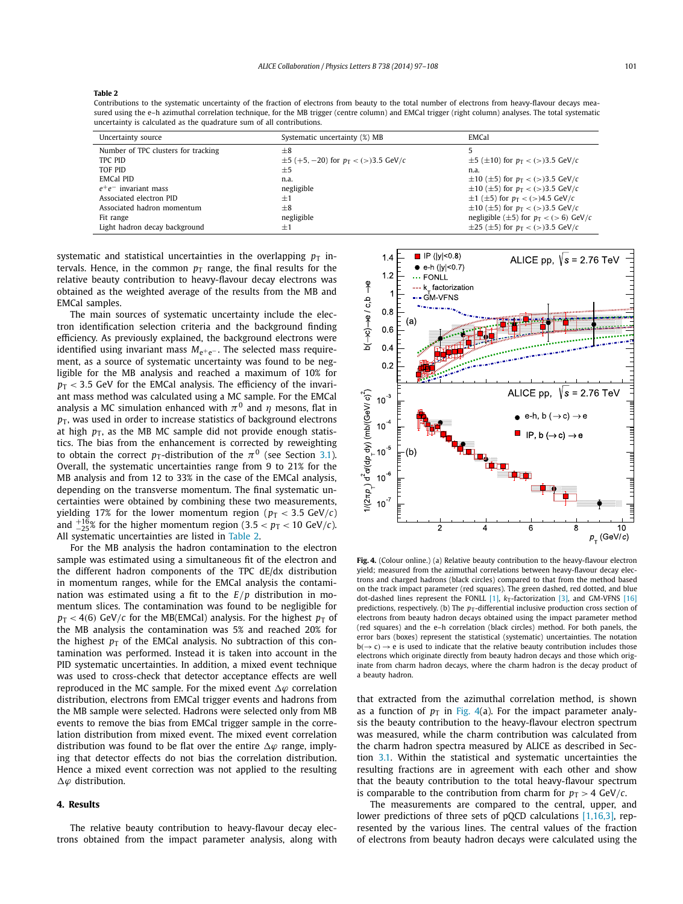#### <span id="page-4-0"></span>**Table 2**

Contributions to the systematic uncertainty of the fraction of electrons from beauty to the total number of electrons from heavy-flavour decays measured using the e–h azimuthal correlation technique, for the MB trigger (centre column) and EMCal trigger (right column) analyses. The total systematic uncertainty is calculated as the quadrature sum of all contributions.

| Uncertainty source                  | Systematic uncertainty (%) MB              | <b>EMCal</b>                                     |
|-------------------------------------|--------------------------------------------|--------------------------------------------------|
| Number of TPC clusters for tracking | $\pm$ 8                                    |                                                  |
| TPC PID                             | $\pm 5$ (+5, -20) for $p_T < (>)3.5$ GeV/c | $\pm 5$ ( $\pm 10$ ) for $p_T < (>)3.5$ GeV/c    |
| TOF PID                             | $\pm$ 5                                    | n.a.                                             |
| <b>EMCal PID</b>                    | n.a.                                       | $\pm 10$ ( $\pm 5$ ) for $p_T < (>)3.5$ GeV/c    |
| $e^+e^-$ invariant mass             | negligible                                 | $\pm 10$ ( $\pm 5$ ) for $p_T < (>)3.5$ GeV/c    |
| Associated electron PID             | $+1$                                       | $\pm 1$ ( $\pm 5$ ) for $p_T < (>) 4.5$ GeV/c    |
| Associated hadron momentum          | $\pm$ 8                                    | $\pm 10$ ( $\pm 5$ ) for $p_T < (>)3.5$ GeV/c    |
| Fit range                           | negligible                                 | negligible ( $\pm$ 5) for $p_T$ < ( $>$ 6) GeV/c |
| Light hadron decay background       | ±1                                         | $\pm 25$ ( $\pm 5$ ) for $p_T < (>)3.5$ GeV/c    |

systematic and statistical uncertainties in the overlapping  $p<sub>T</sub>$  intervals. Hence, in the common  $p<sub>T</sub>$  range, the final results for the relative beauty contribution to heavy-flavour decay electrons was obtained as the weighted average of the results from the MB and EMCal samples.

The main sources of systematic uncertainty include the electron identification selection criteria and the background finding efficiency. As previously explained, the background electrons were identified using invariant mass *M*<sub>e+e</sub>−. The selected mass requirement, as a source of systematic uncertainty was found to be negligible for the MB analysis and reached a maximum of 10% for  $p_T < 3.5$  GeV for the EMCal analysis. The efficiency of the invariant mass method was calculated using a MC sample. For the EMCal analysis a MC simulation enhanced with *π*<sup>0</sup> and *η* mesons, flat in  $p<sub>T</sub>$ , was used in order to increase statistics of background electrons at high  $p_T$ , as the MB MC sample did not provide enough statistics. The bias from the enhancement is corrected by reweighting to obtain the correct  $p_T$ -distribution of the  $\pi^0$  (see Section [3.1\)](#page-1-0). Overall, the systematic uncertainties range from 9 to 21% for the MB analysis and from 12 to 33% in the case of the EMCal analysis, depending on the transverse momentum. The final systematic uncertainties were obtained by combining these two measurements, yielding 17% for the lower momentum region ( $p_T < 3.5$  GeV/*c*) and  $^{+16}_{-25}$ % for the higher momentum region (3.5  $< p_T < 10$  GeV/*c*). All systematic uncertainties are listed in Table 2.

For the MB analysis the hadron contamination to the electron sample was estimated using a simultaneous fit of the electron and the different hadron components of the TPC dE/dx distribution in momentum ranges, while for the EMCal analysis the contamination was estimated using a fit to the *E/p* distribution in momentum slices. The contamination was found to be negligible for  $p_T < 4(6)$  GeV/*c* for the MB(EMCal) analysis. For the highest  $p_T$  of the MB analysis the contamination was 5% and reached 20% for the highest  $p<sub>T</sub>$  of the EMCal analysis. No subtraction of this contamination was performed. Instead it is taken into account in the PID systematic uncertainties. In addition, a mixed event technique was used to cross-check that detector acceptance effects are well reproduced in the MC sample. For the mixed event  $\Delta\varphi$  correlation distribution, electrons from EMCal trigger events and hadrons from the MB sample were selected. Hadrons were selected only from MB events to remove the bias from EMCal trigger sample in the correlation distribution from mixed event. The mixed event correlation distribution was found to be flat over the entire  $\Delta\varphi$  range, implying that detector effects do not bias the correlation distribution. Hence a mixed event correction was not applied to the resulting *ϕ* distribution.

#### **4. Results**

The relative beauty contribution to heavy-flavour decay electrons obtained from the impact parameter analysis, along with



**Fig. 4.** (Colour online.) (a) Relative beauty contribution to the heavy-flavour electron yield; measured from the azimuthal correlations between heavy-flavour decay electrons and charged hadrons (black circles) compared to that from the method based on the track impact parameter (red squares). The green dashed, red dotted, and blue dot-dashed lines represent the FONLL [\[1\],](#page-6-0)  $k_T$ -factorization [\[3\],](#page-6-0) and GM-VFNS [\[16\]](#page-6-0) predictions, respectively. (b) The  $p_T$ -differential inclusive production cross section of electrons from beauty hadron decays obtained using the impact parameter method (red squares) and the e–h correlation (black circles) method. For both panels, the error bars (boxes) represent the statistical (systematic) uncertainties. The notation  $b(\rightarrow c) \rightarrow e$  is used to indicate that the relative beauty contribution includes those electrons which originate directly from beauty hadron decays and those which originate from charm hadron decays, where the charm hadron is the decay product of a beauty hadron.

that extracted from the azimuthal correlation method, is shown as a function of  $p_T$  in Fig. 4(a). For the impact parameter analysis the beauty contribution to the heavy-flavour electron spectrum was measured, while the charm contribution was calculated from the charm hadron spectra measured by ALICE as described in Section [3.1.](#page-1-0) Within the statistical and systematic uncertainties the resulting fractions are in agreement with each other and show that the beauty contribution to the total heavy-flavour spectrum is comparable to the contribution from charm for  $p_T > 4$  GeV/*c*.

The measurements are compared to the central, upper, and lower predictions of three sets of pQCD calculations [\[1,16,3\],](#page-6-0) represented by the various lines. The central values of the fraction of electrons from beauty hadron decays were calculated using the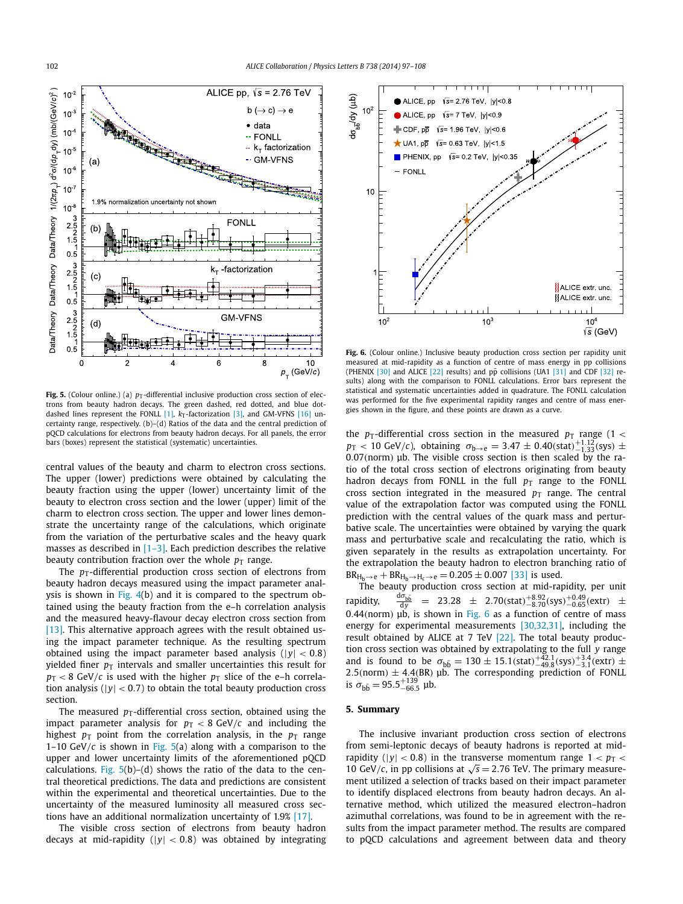

**Fig. 5.** (Colour online.) (a)  $p_T$ -differential inclusive production cross section of electrons from beauty hadron decays. The green dashed, red dotted, and blue dot-dashed lines represent the FONLL [\[1\],](#page-6-0)  $k_T$ -factorization [\[3\],](#page-6-0) and GM-VFNS [\[16\]](#page-6-0) uncertainty range, respectively. (b)–(d) Ratios of the data and the central prediction of pQCD calculations for electrons from beauty hadron decays. For all panels, the error bars (boxes) represent the statistical (systematic) uncertainties.

central values of the beauty and charm to electron cross sections. The upper (lower) predictions were obtained by calculating the beauty fraction using the upper (lower) uncertainty limit of the beauty to electron cross section and the lower (upper) limit of the charm to electron cross section. The upper and lower lines demonstrate the uncertainty range of the calculations, which originate from the variation of the perturbative scales and the heavy quark masses as described in  $[1-3]$ . Each prediction describes the relative beauty contribution fraction over the whole  $p_T$  range.

The  $p_T$ -differential production cross section of electrons from beauty hadron decays measured using the impact parameter analysis is shown in [Fig. 4\(](#page-4-0)b) and it is compared to the spectrum obtained using the beauty fraction from the e–h correlation analysis and the measured heavy-flavour decay electron cross section from [\[13\].](#page-6-0) This alternative approach agrees with the result obtained using the impact parameter technique. As the resulting spectrum obtained using the impact parameter based analysis (|*y*| *<* 0*.*8) yielded finer  $p_T$  intervals and smaller uncertainties this result for  $p_T < 8$  GeV/*c* is used with the higher  $p_T$  slice of the e–h correlation analysis ( $|y|$  < 0.7) to obtain the total beauty production cross section.

The measured  $p_T$ -differential cross section, obtained using the impact parameter analysis for  $p<sub>T</sub> < 8$  GeV/*c* and including the highest  $p_T$  point from the correlation analysis, in the  $p_T$  range 1–10 GeV*/c* is shown in Fig. 5(a) along with a comparison to the upper and lower uncertainty limits of the aforementioned pQCD calculations. Fig.  $5(b)$ –(d) shows the ratio of the data to the central theoretical predictions. The data and predictions are consistent within the experimental and theoretical uncertainties. Due to the uncertainty of the measured luminosity all measured cross sections have an additional normalization uncertainty of 1.9% [\[17\].](#page-6-0)

The visible cross section of electrons from beauty hadron decays at mid-rapidity (|*y*| *<* 0*.*8) was obtained by integrating



Fig. 6. (Colour online.) Inclusive beauty production cross section per rapidity unit measured at mid-rapidity as a function of centre of mass energy in pp collisions (PHENIX  $[30]$  and ALICE  $[22]$  results) and pp collisions (UA1  $[31]$  and CDF  $[32]$  results) along with the comparison to FONLL calculations. Error bars represent the statistical and systematic uncertainties added in quadrature. The FONLL calculation was performed for the five experimental rapidity ranges and centre of mass energies shown in the figure, and these points are drawn as a curve.

the  $p_T$ -differential cross section in the measured  $p_T$  range (1 <  $p_{\text{T}}$  < 10 GeV/*c*), obtaining  $\sigma_{\text{b}\to\text{e}} = 3.47 \pm 0.40 \text{(stat)}^{+1.12}_{-1.33} \text{(sys)} \pm 0.7 \text{(sens)}$  is the second of the second of the second of the second of the second of the second of the second of the second of the sec 0*.*07*(*norm*)* μb. The visible cross section is then scaled by the ratio of the total cross section of electrons originating from beauty hadron decays from FONLL in the full  $p_T$  range to the FONLL cross section integrated in the measured  $p<sub>T</sub>$  range. The central value of the extrapolation factor was computed using the FONLL prediction with the central values of the quark mass and perturbative scale. The uncertainties were obtained by varying the quark mass and perturbative scale and recalculating the ratio, which is given separately in the results as extrapolation uncertainty. For the extrapolation the beauty hadron to electron branching ratio of  $BR_{H_h \to e} + BR_{H_h \to H_c \to e} = 0.205 \pm 0.007$  [\[33\]](#page-7-0) is used.

The beauty production cross section at mid-rapidity, per unit rapidity,  $\frac{d\sigma_{\bf b\bar{b}}}{dy}$  = 23.28 ± 2.70*(*stat)<sup>+8.92</sup><sub>-8.70</sub>*(sys)*<sup>+0.49</sup><sub>-0.65</sub>*(extr)* ± 0*.*44*(*norm*)* μb, is shown in Fig. 6 as a function of centre of mass energy for experimental measurements [\[30,32,31\],](#page-6-0) including the result obtained by ALICE at 7 TeV [\[22\].](#page-6-0) The total beauty production cross section was obtained by extrapolating to the full *y* range and is found to be  $\sigma_{b\bar{b}} = 130 \pm 15.1 \text{(stat)} + 42.1 \text{(sys)} + 3.4 \text{(extr)} \pm 2.5 \text{(sens)} + 4.4 \text{(CD)}$  $2.5$ (norm)  $\pm$  4.4(BR)  $\mu$ b. The corresponding prediction of FONLI is  $\sigma_{\overline{b}} = 95.5^{+139}_{-66.5}$  μb.

#### **5. Summary**

The inclusive invariant production cross section of electrons from semi-leptonic decays of beauty hadrons is reported at midrapidity ( $|y| < 0.8$ ) in the transverse momentum range  $1 < p<sub>T</sub> <$ 10 GeV/*c*, in pp collisions at  $\sqrt{s}$  = 2.76 TeV. The primary measurement utilized a selection of tracks based on their impact parameter to identify displaced electrons from beauty hadron decays. An alternative method, which utilized the measured electron–hadron azimuthal correlations, was found to be in agreement with the results from the impact parameter method. The results are compared to pQCD calculations and agreement between data and theory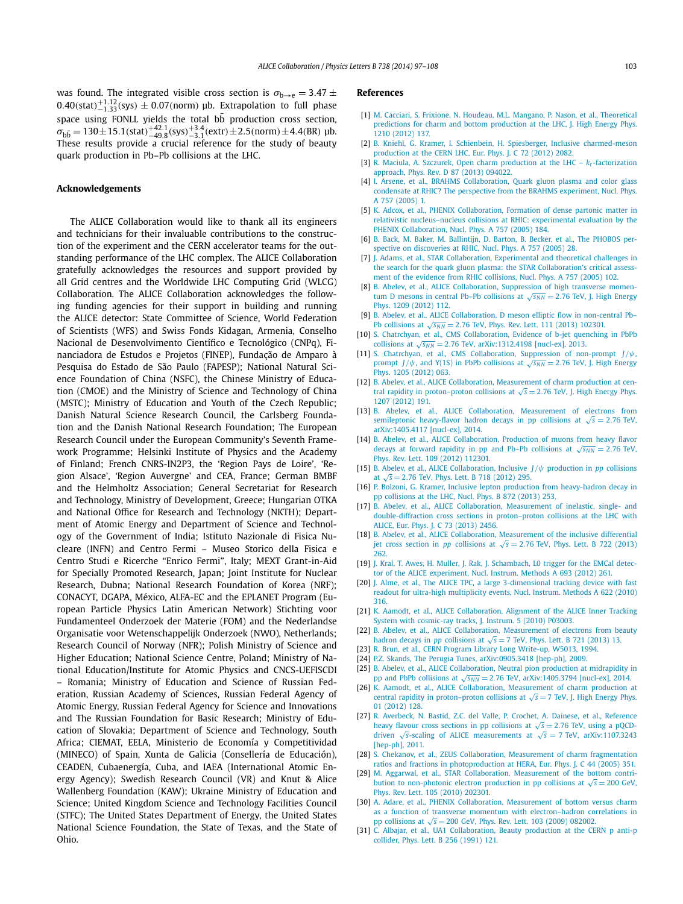<span id="page-6-0"></span>was found. The integrated visible cross section is  $\sigma_{b\rightarrow e} = 3.47 \pm$  $0.40$ (stat) $^{+1.12}_{-1.33}$ (sys) ± 0.07(norm) μb. Extrapolation to full phase space using FONLL yields the total  $b\bar{b}$  production cross section,  $\sigma_{\text{bb}} = 130 \pm 15.1 \text{(stat)}_{-49.8}^{+42.1} \text{(sys)}_{-3.1}^{+3.4} \text{(extr)} \pm 2.5 \text{(norm)} \pm 4.4 \text{(BR)}$  μb. These results provide a crucial reference for the study of beauty quark production in Pb–Pb collisions at the LHC.

#### **Acknowledgements**

The ALICE Collaboration would like to thank all its engineers and technicians for their invaluable contributions to the construction of the experiment and the CERN accelerator teams for the outstanding performance of the LHC complex. The ALICE Collaboration gratefully acknowledges the resources and support provided by all Grid centres and the Worldwide LHC Computing Grid (WLCG) Collaboration. The ALICE Collaboration acknowledges the following funding agencies for their support in building and running the ALICE detector: State Committee of Science, World Federation of Scientists (WFS) and Swiss Fonds Kidagan, Armenia, Conselho Nacional de Desenvolvimento Científico e Tecnológico (CNPq), Financiadora de Estudos e Projetos (FINEP), Fundação de Amparo à Pesquisa do Estado de São Paulo (FAPESP); National Natural Science Foundation of China (NSFC), the Chinese Ministry of Education (CMOE) and the Ministry of Science and Technology of China (MSTC); Ministry of Education and Youth of the Czech Republic; Danish Natural Science Research Council, the Carlsberg Foundation and the Danish National Research Foundation; The European Research Council under the European Community's Seventh Framework Programme; Helsinki Institute of Physics and the Academy of Finland; French CNRS-IN2P3, the 'Region Pays de Loire', 'Region Alsace', 'Region Auvergne' and CEA, France; German BMBF and the Helmholtz Association; General Secretariat for Research and Technology, Ministry of Development, Greece; Hungarian OTKA and National Office for Research and Technology (NKTH); Department of Atomic Energy and Department of Science and Technology of the Government of India; Istituto Nazionale di Fisica Nucleare (INFN) and Centro Fermi – Museo Storico della Fisica e Centro Studi e Ricerche "Enrico Fermi", Italy; MEXT Grant-in-Aid for Specially Promoted Research, Japan; Joint Institute for Nuclear Research, Dubna; National Research Foundation of Korea (NRF); CONACYT, DGAPA, México, ALFA-EC and the EPLANET Program (European Particle Physics Latin American Network) Stichting voor Fundamenteel Onderzoek der Materie (FOM) and the Nederlandse Organisatie voor Wetenschappelijk Onderzoek (NWO), Netherlands; Research Council of Norway (NFR); Polish Ministry of Science and Higher Education; National Science Centre, Poland; Ministry of National Education/Institute for Atomic Physics and CNCS-UEFISCDI – Romania; Ministry of Education and Science of Russian Federation, Russian Academy of Sciences, Russian Federal Agency of Atomic Energy, Russian Federal Agency for Science and Innovations and The Russian Foundation for Basic Research; Ministry of Education of Slovakia; Department of Science and Technology, South Africa; CIEMAT, EELA, Ministerio de Economía y Competitividad (MINECO) of Spain, Xunta de Galicia (Consellería de Educación), CEADEN, Cubaenergía, Cuba, and IAEA (International Atomic Energy Agency); Swedish Research Council (VR) and Knut & Alice Wallenberg Foundation (KAW); Ukraine Ministry of Education and Science; United Kingdom Science and Technology Facilities Council (STFC); The United States Department of Energy, the United States National Science Foundation, the State of Texas, and the State of Ohio.

#### **References**

- [1] M. Cacciari, S. Frixione, N. Houdeau, M.L. Mangano, P. Nason, et al., [Theoretical](http://refhub.elsevier.com/S0370-2693(14)00676-5/bib666F6E6C6C33s1) [predictions](http://refhub.elsevier.com/S0370-2693(14)00676-5/bib666F6E6C6C33s1) for charm and bottom production at the LHC, J. High Energy Phys. 1210 [\(2012\)](http://refhub.elsevier.com/S0370-2693(14)00676-5/bib666F6E6C6C33s1) 137.
- [2] B. Kniehl, G. Kramer, I. Schienbein, H. Spiesberger, Inclusive [charmed-meson](http://refhub.elsevier.com/S0370-2693(14)00676-5/bib676D76666E73s1) [production](http://refhub.elsevier.com/S0370-2693(14)00676-5/bib676D76666E73s1) at the CERN LHC, Eur. Phys. J. C 72 (2012) 2082.
- [3] R. Maciula, A. Szczurek, Open charm production at the LHC  $k_t$ [-factorization](http://refhub.elsevier.com/S0370-2693(14)00676-5/bib4D616369756C613A323031337767s1) [approach,](http://refhub.elsevier.com/S0370-2693(14)00676-5/bib4D616369756C613A323031337767s1) Phys. Rev. D 87 (2013) 094022.
- [4] I. Arsene, et al., BRAHMS [Collaboration,](http://refhub.elsevier.com/S0370-2693(14)00676-5/bib627261686D73716770s1) Quark gluon plasma and color glass condensate at RHIC? The perspective from the BRAHMS [experiment,](http://refhub.elsevier.com/S0370-2693(14)00676-5/bib627261686D73716770s1) Nucl. Phys. A 757 [\(2005\)](http://refhub.elsevier.com/S0370-2693(14)00676-5/bib627261686D73716770s1) 1.
- [5] K. Adcox, et al., PHENIX [Collaboration,](http://refhub.elsevier.com/S0370-2693(14)00676-5/bib7068656E6978716770s1) Formation of dense partonic matter in relativistic [nucleus–nucleus](http://refhub.elsevier.com/S0370-2693(14)00676-5/bib7068656E6978716770s1) collisions at RHIC: experimental evaluation by the PHENIX [Collaboration,](http://refhub.elsevier.com/S0370-2693(14)00676-5/bib7068656E6978716770s1) Nucl. Phys. A 757 (2005) 184.
- [6] B. Back, M. Baker, M. [Ballintijn,](http://refhub.elsevier.com/S0370-2693(14)00676-5/bib70686F626F73716770s1) D. Barton, B. Becker, et al., The PHOBOS perspective on [discoveries](http://refhub.elsevier.com/S0370-2693(14)00676-5/bib70686F626F73716770s1) at RHIC, Nucl. Phys. A 757 (2005) 28.
- [7] J. Adams, et al., STAR [Collaboration,](http://refhub.elsevier.com/S0370-2693(14)00676-5/bib73746172716770s1) Experimental and theoretical challenges in the search for the quark gluon plasma: the STAR [Collaboration's](http://refhub.elsevier.com/S0370-2693(14)00676-5/bib73746172716770s1) critical assessment of the evidence from RHIC [collisions,](http://refhub.elsevier.com/S0370-2693(14)00676-5/bib73746172716770s1) Nucl. Phys. A 757 (2005) 102.
- [8] B. Abelev, et al., ALICE [Collaboration,](http://refhub.elsevier.com/S0370-2693(14)00676-5/bib446D65736F6E526161s1) Suppression of high transverse momentum D mesons in central Pb–Pb [collisions](http://refhub.elsevier.com/S0370-2693(14)00676-5/bib446D65736F6E526161s1) at  $\sqrt{s_{NN}} = 2.76$  TeV, J. High Energy Phys. 1209 [\(2012\)](http://refhub.elsevier.com/S0370-2693(14)00676-5/bib446D65736F6E526161s1) 112.
- [9] B. Abelev, et al., ALICE [Collaboration,](http://refhub.elsevier.com/S0370-2693(14)00676-5/bib446D65736F6E7632s1) D meson elliptic flow in non-central Pb– Pb [collisions](http://refhub.elsevier.com/S0370-2693(14)00676-5/bib446D65736F6E7632s1) at  $\sqrt{s_{NN}}$  = 2.76 TeV, Phys. Rev. Lett. 111 (2013) 102301.
- [10] S. Chatrchyan, et al., CMS [Collaboration,](http://refhub.elsevier.com/S0370-2693(14)00676-5/bib636D73626A6574s1) Evidence of b-jet quenching in PbPb collisions at  $\sqrt{s_{NN}}$  = 2.76 TeV, [arXiv:1312.4198](http://refhub.elsevier.com/S0370-2693(14)00676-5/bib636D73626A6574s1) [nucl-ex], 2013.
- [11] S. Chatrchyan, et al., CMS [Collaboration,](http://refhub.elsevier.com/S0370-2693(14)00676-5/bib636D732D6E6F6E70726F6D70746A707369s1) Suppression of non-prompt *J/ψ*, prompt *J*/ $\psi$ , and Y(1S) in PbPb [collisions](http://refhub.elsevier.com/S0370-2693(14)00676-5/bib636D732D6E6F6E70726F6D70746A707369s1) at  $\sqrt{s_{NN}}$  = 2.76 TeV, J. High Energy Phys. 1205 [\(2012\)](http://refhub.elsevier.com/S0370-2693(14)00676-5/bib636D732D6E6F6E70726F6D70746A707369s1) 063.
- [12] B. Abelev, et al., ALICE [Collaboration,](http://refhub.elsevier.com/S0370-2693(14)00676-5/bib616C6963655F636861726D5F78736563s1) Measurement of charm production at central rapidity in [proton–proton](http://refhub.elsevier.com/S0370-2693(14)00676-5/bib616C6963655F636861726D5F78736563s1) collisions at  $\sqrt{s} = 2.76$  TeV, J. High Energy Phys. 1207 [\(2012\)](http://refhub.elsevier.com/S0370-2693(14)00676-5/bib616C6963655F636861726D5F78736563s1) 191.
- [13] B. Abelev, et al., ALICE [Collaboration,](http://refhub.elsevier.com/S0370-2693(14)00676-5/bib616C6963655F686665s1) Measurement of electrons from [semileptonic](http://refhub.elsevier.com/S0370-2693(14)00676-5/bib616C6963655F686665s1) heavy-flavor hadron decays in pp collisions at  $\sqrt{s} = 2.76$  TeV, [arXiv:1405.4117](http://refhub.elsevier.com/S0370-2693(14)00676-5/bib616C6963655F686665s1) [nucl-ex], 2014.
- [14] B. Abelev, et al., ALICE [Collaboration,](http://refhub.elsevier.com/S0370-2693(14)00676-5/bib616C6963655F68666Ds1) Production of muons from heavy flavor decays at forward rapidity in pp and Pb–Pb [collisions](http://refhub.elsevier.com/S0370-2693(14)00676-5/bib616C6963655F68666Ds1) at  $\sqrt{s_{NN}} = 2.76$  TeV, Phys. Rev. Lett. 109 (2012) [112301.](http://refhub.elsevier.com/S0370-2693(14)00676-5/bib616C6963655F68666Ds1)
- [15] B. Abelev, et al., ALICE [Collaboration,](http://refhub.elsevier.com/S0370-2693(14)00676-5/bib616C6963655F6A707369s1) Inclusive *J/ψ* production in *pp* collisions at <sup>√</sup>*<sup>s</sup>* <sup>=</sup> <sup>2</sup>*.*[76 TeV,](http://refhub.elsevier.com/S0370-2693(14)00676-5/bib616C6963655F6A707369s1) Phys. Lett. <sup>B</sup> <sup>718</sup> (2012) 295.
- [16] P. Bolzoni, G. Kramer, Inclusive lepton production from [heavy-hadron](http://refhub.elsevier.com/S0370-2693(14)00676-5/bib426F6C7A6F6E693A323031326B78s1) decay in pp [collisions](http://refhub.elsevier.com/S0370-2693(14)00676-5/bib426F6C7A6F6E693A323031326B78s1) at the LHC, Nucl. Phys. B 872 (2013) 253.
- [17] B. Abelev, et al., ALICE [Collaboration,](http://refhub.elsevier.com/S0370-2693(14)00676-5/bib616C6963655F63726F73735F73656374696F6Es1) Measurement of inelastic, single- and [double-diffraction](http://refhub.elsevier.com/S0370-2693(14)00676-5/bib616C6963655F63726F73735F73656374696F6Es1) cross sections in proton–proton collisions at the LHC with ALICE, Eur. Phys. J. C 73 [\(2013\)](http://refhub.elsevier.com/S0370-2693(14)00676-5/bib616C6963655F63726F73735F73656374696F6Es1) 2456.
- [18] B. Abelev, et al., ALICE [Collaboration,](http://refhub.elsevier.com/S0370-2693(14)00676-5/bib726F6E67726F6E67s1) Measurement of the inclusive differential jet cross section in *pp* [collisions](http://refhub.elsevier.com/S0370-2693(14)00676-5/bib726F6E67726F6E67s1) at  $\sqrt{s} = 2.76$  TeV, Phys. Lett. B 722 (2013) [262.](http://refhub.elsevier.com/S0370-2693(14)00676-5/bib726F6E67726F6E67s1)
- [19] J. Kral, T. Awes, H. Muller, J. Rak, J. [Schambach,](http://refhub.elsevier.com/S0370-2693(14)00676-5/bib4B72616C3A323031326165s1) L0 trigger for the EMCal detector of the ALICE [experiment,](http://refhub.elsevier.com/S0370-2693(14)00676-5/bib4B72616C3A323031326165s1) Nucl. Instrum. Methods A 693 (2012) 261.
- [20] J. Alme, et al., The ALICE TPC, a large [3-dimensional](http://refhub.elsevier.com/S0370-2693(14)00676-5/bib747063s1) tracking device with fast readout for ultra-high [multiplicity](http://refhub.elsevier.com/S0370-2693(14)00676-5/bib747063s1) events, Nucl. Instrum. Methods A 622 (2010) [316.](http://refhub.elsevier.com/S0370-2693(14)00676-5/bib747063s1)
- [21] K. Aamodt, et al., ALICE [Collaboration,](http://refhub.elsevier.com/S0370-2693(14)00676-5/bib697473s1) Alignment of the ALICE Inner Tracking System with [cosmic-ray](http://refhub.elsevier.com/S0370-2693(14)00676-5/bib697473s1) tracks, J. Instrum. 5 (2010) P03003.
- [22] B. Abelev, et al., ALICE [Collaboration,](http://refhub.elsevier.com/S0370-2693(14)00676-5/bib626561757479377070s1) Measurement of electrons from beauty
- hadron decays in *pp* [collisions](http://refhub.elsevier.com/S0370-2693(14)00676-5/bib626561757479377070s1) at  $\sqrt{s}$  = 7 TeV, Phys. Lett. B 721 (2013) 13. [23] R. Brun, et al., CERN Program Library Long [Write-up,](http://refhub.elsevier.com/S0370-2693(14)00676-5/bib6765616E74s1) W5013, 1994.
- [24] P.Z. Skands, The Perugia Tunes, [arXiv:0905.3418](http://refhub.elsevier.com/S0370-2693(14)00676-5/bib7065727567696130s1) [hep-ph], 2009.

01 [\(2012\)](http://refhub.elsevier.com/S0370-2693(14)00676-5/bib616C6963655F643268s1) 128.

- [25] B. Abelev, et al., ALICE [Collaboration,](http://refhub.elsevier.com/S0370-2693(14)00676-5/bib616C6963655F7069657461s1) Neutral pion production at midrapidity in
- pp and PbPb collisions at  $\sqrt{s_{NN}}$  = 2.76 TeV, [arXiv:1405.3794](http://refhub.elsevier.com/S0370-2693(14)00676-5/bib616C6963655F7069657461s1) [nucl-ex], 2014. [26] K. Aamodt, et al., ALICE [Collaboration,](http://refhub.elsevier.com/S0370-2693(14)00676-5/bib616C6963655F643268s1) Measurement of charm production at central rapidity in [proton–proton](http://refhub.elsevier.com/S0370-2693(14)00676-5/bib616C6963655F643268s1) collisions at  $\sqrt{s}$  = 7 TeV, J. High Energy Phys.
- [27] R. Averbeck, N. Bastid, Z.C. del Valle, P. Crochet, A. Dainese, et al., [Reference](http://refhub.elsevier.com/S0370-2693(14)00676-5/bib7363616C696E67s1) heavy flavour cross sections in pp [collisions](http://refhub.elsevier.com/S0370-2693(14)00676-5/bib7363616C696E67s1) at  $\sqrt{s} = 2.76$  TeV, using a pQCDdriven <sup>√</sup>*s*-scaling of ALICE measurements at <sup>√</sup>*<sup>s</sup>* <sup>=</sup> 7 TeV, [arXiv:1107.3243](http://refhub.elsevier.com/S0370-2693(14)00676-5/bib7363616C696E67s1) [\[hep-ph\],](http://refhub.elsevier.com/S0370-2693(14)00676-5/bib7363616C696E67s1) 2011.
- [28] S. Chekanov, et al., ZEUS Collaboration, Measurement of charm [fragmentation](http://refhub.elsevier.com/S0370-2693(14)00676-5/bib7A6575735F6C616D62646163s1) ratios and fractions in [photoproduction](http://refhub.elsevier.com/S0370-2693(14)00676-5/bib7A6575735F6C616D62646163s1) at HERA, Eur. Phys. J. C 44 (2005) 351.
- [29] M. Aggarwal, et al., STAR [Collaboration,](http://refhub.elsevier.com/S0370-2693(14)00676-5/bib73746172s1) Measurement of the bottom contribution to [non-photonic](http://refhub.elsevier.com/S0370-2693(14)00676-5/bib73746172s1) electron production in pp collisions at  $\sqrt{s} = 200$  GeV, Phys. Rev. Lett. 105 (2010) [202301.](http://refhub.elsevier.com/S0370-2693(14)00676-5/bib73746172s1)
- [30] A. Adare, et al., PHENIX [Collaboration,](http://refhub.elsevier.com/S0370-2693(14)00676-5/bib7068656E6978s1) Measurement of bottom versus charm as a function of transverse momentum with [electron–hadron](http://refhub.elsevier.com/S0370-2693(14)00676-5/bib7068656E6978s1) correlations in pp [collisions](http://refhub.elsevier.com/S0370-2693(14)00676-5/bib7068656E6978s1) at <sup>√</sup>*<sup>s</sup>* <sup>=</sup> 200 GeV, Phys. Rev. Lett. <sup>103</sup> (2009) 082002.
- [31] C. Albajar, et al., UA1 [Collaboration,](http://refhub.elsevier.com/S0370-2693(14)00676-5/bib75616F6E65s1) Beauty production at the CERN p anti-p [collider,](http://refhub.elsevier.com/S0370-2693(14)00676-5/bib75616F6E65s1) Phys. Lett. B 256 (1991) 121.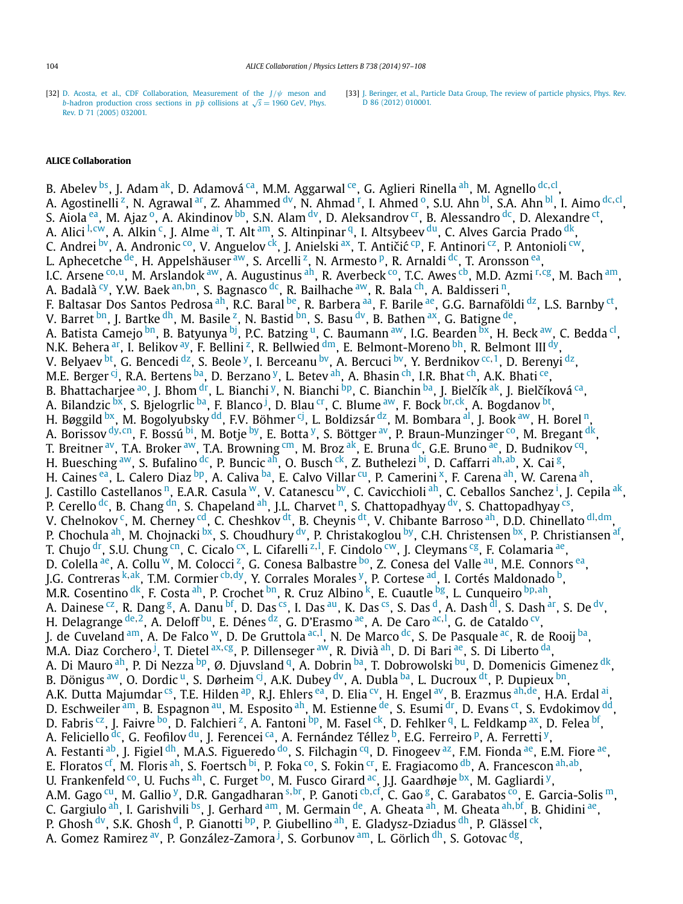- <span id="page-7-0"></span>[32] D. Acosta, et al., CDF [Collaboration,](http://refhub.elsevier.com/S0370-2693(14)00676-5/bib636466s1) Measurement of the *J/ψ* meson and *b*-hadron [production](http://refhub.elsevier.com/S0370-2693(14)00676-5/bib636466s1) cross sections in *pp* collisions at  $\sqrt{s}$  = 1960 GeV, Phys. Rev. D 71 (2005) [032001.](http://refhub.elsevier.com/S0370-2693(14)00676-5/bib636466s1)
- [33] J. [Beringer,](http://refhub.elsevier.com/S0370-2693(14)00676-5/bib706467s1) et al., Particle Data Group, The review of particle physics, Phys. Rev. D 86 (2012) [010001.](http://refhub.elsevier.com/S0370-2693(14)00676-5/bib706467s1)

### **ALICE Collaboration**

B. Abelev <sup>bs</sup>, J. Adam <sup>ak</sup>, D. Adamová<sup>ca</sup>, M.M. Aggarwal <sup>ce</sup>, G. Aglieri Rinella <sup>ah</sup>, M. Agnello <sup>[dc](#page-11-0), cl</sup>, A. Agostinelli <sup>z</sup>, N. Ag[r](#page-10-0)awal <sup>ar</sup>, Z. Ahammed <sup>dv</sup>, N. Ahmad <sup>r</sup>, I. Ahmed <sup>o</sup>, S.U. Ahn <sup>bl</sup>, S.A. Ahn <sup>bl</sup>, I. Aimo <sup>[dc](#page-11-0), [cl](#page-10-0)</sup>, S. Aiola <sup>ea</sup>, M. Ajaz <sup>o</sup>, A. Akindinov <sup>bb</sup>, S.N. Alam <sup>dv</sup>, D. Aleksandrov <sup>cr</sup>, B. Alessandro <sup>dc</sup>, D. Alexandre <sup>ct</sup>, A. A[l](#page-9-0)ici <sup>l,cw</sup>, A. Alkin<sup>c</sup>, J. Alme [ai,](#page-10-0) T. Alt [am,](#page-10-0) S. Altinpinar <sup>q</sup>, I. Altsybeev [du,](#page-11-0) C. Alves Garcia Prado [dk](#page-11-0), C. Andrei [bv](#page-10-0), A. Andronic <sup>co</sup>, V. Anguelov <sup>ck</sup>, J. Anielski [ax,](#page-10-0) T. Antičić <sup>[cp](#page-11-0)</sup>, F. Antinori <sup>[cz](#page-11-0)</sup>, P. Antonioli <sup>cw</sup>, L. Aphecetche <sup>de</sup>, H. Appelshäuser <sup>[aw](#page-10-0)</sup>, S. Arcelli <sup>z</sup>, N. Armesto <sup>p</sup>, R. Arnaldi <sup>dc</sup>, T. Aronsson <sup>ea</sup>, I.C. Arsene <sup>[co](#page-11-0),u</sup>, M. Arslandok <sup>[aw](#page-10-0)</sup>, A. Augustinus <sup>ah</sup>, R. Ave[r](#page-10-0)beck <sup>co</sup>, T.C. Awes <sup>cb</sup>, M.D. Azmi <sup>r,cg</sup>, M. Bach <sup>[am](#page-10-0)</sup>, A. Badalà <sup>cy</sup>, Y.W. Baek [an](#page-10-0), [bn,](#page-10-0) S. Bagnasco [dc](#page-11-0), R. Bailhache [aw,](#page-10-0) R. Bala [ch,](#page-10-0) A. Baldisseri<sup>n</sup>, F. Baltasar Dos Santos Pedrosa [ah,](#page-10-0) R.C. Baral [be](#page-10-0), R. Barbera [aa,](#page-10-0) F. Barile [ae,](#page-10-0) G.G. Barnaföldi [dz,](#page-11-0) L.S. Barnby [ct,](#page-11-0) V. Barret  $\frac{bn}{n}$ , J. Bartke  $\frac{dh}{n}$ , M. Basile <sup>z</sup>, N. Bastid  $\frac{bn}{n}$ , S. Basu  $\frac{dv}{n}$ , B. Bathen  $\frac{ax}{n}$ , G. Batigne  $\frac{de}{n}$ , A. Batista Camejo <sup>bn</sup>, B. Batyunya <sup>bj</sup>, P.C. Batzing <sup>u</sup>, C. Baumann <sup>[aw](#page-10-0)</sup>, I.G. Bearden <sup>bx</sup>, H. Beck <sup>aw</sup>, C. Bedda <sup>cl</sup>, N.K. Behera <sup>ar</sup>, I. Belikov <sup>ay</sup>, F. Bellini <sup>z</sup>, R. Bellwied <sup>dm</sup>, E. Belmont-Moreno <sup>[bh](#page-10-0)</sup>, R. Belmont III <sup>dy</sup>, V. Belyaev <sup>bt</sup>, G. Bencedi <sup>dz</sup>, S. Beole <sup>y</sup>, I. Berceanu <sup>bv</sup>, A. Bercuci <sup>bv</sup>, Y. Berdnikov <sup>[cc](#page-10-0), 1</sup>, D. Berenyi <sup>dz</sup>, M.E. Berger <sup>cj</sup>, R.A. Bertens  $a_n$ , D. Berzano <sup>y</sup>, L. Betev  $a_n$ , A. Bhasin [ch,](#page-10-0) I.R. Bhat ch, A.K. Bhati <sup>ce</sup>, B. Bhattacharjee <sup>ao</sup>, J. Bhom [dr,](#page-11-0) L. Bianchi <sup>y</sup>, N. Bianchi <sup>bp</sup>, C. Bianchin <sup>ba</sup>, J. Bielčík <sup>ak</sup>, J. Bielčíková <sup>ca</sup>, A. Bilandzic <sup>bx</sup>, S. B[j](#page-9-0)elogrlic <sup>ba</sup>, F. Blanco <sup>j</sup>, D. Blau <sup>cr</sup>, C. Blume <sup>aw</sup>, F. Bock <sup>[br](#page-10-0), ck</sup>, A. Bogdanov <sup>bt</sup>, H. Bøggild [bx,](#page-10-0) M. Bogolyubsky [dd,](#page-11-0) F.V. Böhmer [cj,](#page-10-0) L. Boldizsár [dz,](#page-11-0) M. Bombara [al,](#page-10-0) J. Book [aw](#page-10-0), H. Borel [n,](#page-10-0) A. Borissov [dy](#page-11-0), [cn,](#page-10-0) F. Bossú [bi,](#page-10-0) M. Botje [by,](#page-10-0) E. Botta [y,](#page-10-0) S. Böttger [av,](#page-10-0) P. Braun-Munzinger <sup>co</sup>, M. Bregant [dk,](#page-11-0) T. Breitner [av,](#page-10-0) T.A. Broker [aw,](#page-10-0) T.A. Browning [cm,](#page-10-0) M. Broz [ak,](#page-10-0) E. Bruna [dc,](#page-11-0) G.E. Bruno [ae,](#page-10-0) D. Budnikov [cq,](#page-11-0) H. Buesching [aw,](#page-10-0) S. Bufalino [dc,](#page-11-0) P. Buncic [ah,](#page-10-0) O. Busch [ck,](#page-10-0) Z. Buthelezi [bi,](#page-10-0) D. Caffarri [ah](#page-10-0), [ab](#page-10-0), X. Cai [g,](#page-9-0) H. Caines <sup>ea</sup>, L. Calero Diaz <sup>bp</sup>, A. Caliva <sup>ba</sup>, E. Calvo Villar <sup>cu</sup>, P. Camerini<sup>x</sup>, F. Carena <sup>ah</sup>, W. Carena <sup>ah</sup>, J. Castillo Castella[n](#page-10-0)os <sup>n</sup>, E.A.R. Casula <sup>w</sup>, V. Catanescu <sup>bv</sup>, C. Cav[i](#page-9-0)cchioli <sup>ah</sup>, C. Ceballos Sanchez <sup>i</sup>, J. Cepila <sup>ak</sup>, P. Cerello <sup>[dc](#page-11-0)</sup>, B. Chang <sup>dn</sup>, S. Chapeland <sup>ah</sup>, J.L. Charvet <sup>n</sup>, S. Chattopadhyay <sup>dv</sup>, S. Chattopadhyay <sup>cs</sup>, V. Chelnokov<sup>c</sup>, M. Cherney <sup>cd</sup>, C. Cheshkov <sup>dt</sup>, B. Cheynis <sup>dt</sup>, V. Chibante Barroso <sup>[ah](#page-10-0)</sup>, D.D. Chinellato <sup>[dl](#page-11-0),dm</sup>, P. Chochula [ah,](#page-10-0) M. Chojnacki [bx,](#page-10-0) S. Choudhury [dv,](#page-11-0) P. Christakoglou [by,](#page-10-0) C.H. Christensen bx, P. Christiansen [af,](#page-10-0) T. Chujo <sup>dr</sup>, S.U. Chung <sup>cn</sup>, C. Cicalo <sup>cx</sup>, L. Cifarelli <sup>[z](#page-10-0), [l](#page-9-0)</sup>, F. Cindolo <sup>cw</sup>, J. Cleymans <sup>cg</sup>, F. Colamaria <sup>ae</sup>, D. Colella <sup>ae</sup>, A. Collu <sup>w</sup>, M. Colocci <sup>z</sup>, G. Conesa Balbastre <sup>bo</sup>, Z. Conesa del Valle <sup>au</sup>, M.E. Connors <sup>ea</sup>, J.G. Contreras [k](#page-9-0)*,*[ak,](#page-10-0) T.M. Cormier [cb](#page-10-0)*,*[dy,](#page-11-0) Y. Corrales Morales [y,](#page-10-0) P. Cortese [ad,](#page-10-0) I. Cortés Maldonado [b](#page-9-0), M.R. Cosentino <sup>dk</sup>, F. Costa <sup>ah</sup>, P. Crochet <sup>bn</sup>, R. Cruz Albino <sup>k</sup>, E. Cuautle <sup>bg</sup>, L. Cunqueiro <sup>[bp](#page-10-0), ah</sup>, A. Dainese  $^{cz}$ , R. Dan[g](#page-9-0) g, A. Danu  $^{bf}$ , D. Das  $^{cs}$ , I. Das  $^{au}$ , K. Das  $^{cs}$ , S. Das  $^{d}$ , A. Dash  $^{dl}$ , S. Dash  $^{ar}$ , S. De  $^{dv}$ , H. Delagrange <sup>[de](#page-11-0),2</sup>, A. Deloff <sup>bu</sup>, E. Dénes <sup>dz</sup>, G. D'Erasmo <sup>ae</sup>, A. De Caro <sup>[ac](#page-10-0), [l](#page-9-0)</sup>, G. de Cataldo <sup>cv</sup>, J. de Cuveland <sup>am</sup>, A. De Falco <sup>[w](#page-10-0)</sup>, D. De Gruttola <sup>[ac](#page-10-0), [l](#page-9-0)</sup>, N. De Marco <sup>dc</sup>, S. De Pasquale <sup>ac</sup>, R. de Rooij <sup>ba</sup>, M.A. Diaz Corchero <sup>[j](#page-9-0)</sup>, T. Dietel <sup>[ax](#page-10-0),cg</sup>, P. Dillenseger <sup>aw</sup>, R. Divià <sup>ah</sup>, D. Di Bari <sup>ae</sup>, S. Di Liberto <sup>da</sup>, A. Di Mauro <sup>[ah](#page-10-0)</sup>, P. Di Nezza <sup>bp</sup>, Ø. Djuvsland <sup>q</sup>, A. Dobrin <sup>[ba](#page-10-0)</sup>, T. Dobrowolski <sup>bu</sup>, D. Domenicis Gimenez <sup>dk</sup>, B. Dönigus [aw,](#page-10-0) O. Dordic <sup>u</sup>, S. Dørheim <sup>cj</sup>, A.K. Dubey <sup>[dv](#page-11-0)</sup>, A. Dubla <sup>ba</sup>, L. Ducroux <sup>dt</sup>, P. Dupieux <sup>bn</sup>, A.K. Dutta Majumdar CS, T.E. Hilden <sup>[ap](#page-10-0)</sup>, R.J. Ehlers [ea,](#page-11-0) D. Elia CV, H. Engel <sup>av</sup>, B. Erazmus <sup>[ah](#page-10-0), de</sup>, H.A. Erdal [ai,](#page-10-0) D. Eschweiler [am,](#page-10-0) B. Espagnon [au,](#page-10-0) M. Esposito [ah,](#page-10-0) M. Estienne [de,](#page-11-0) S. Esumi [dr,](#page-11-0) D. Evans [ct,](#page-11-0) S. Evdokimov [dd,](#page-11-0) D. Fabris <sup>c[z](#page-10-0)</sup>, J. Faivre <sup>bo</sup>, D. Falchieri<sup> z</sup>, A. Fantoni <sup>bp</sup>, M. Fasel <sup>[ck](#page-10-0)</sup>, D. Fehlker [q,](#page-10-0) L. Feldkamp <sup>ax</sup>, D. Felea <sup>bf</sup>, A. Feliciello <sup>dc</sup>, G. Feofilov <sup>du</sup>, J. Ferencei <sup>ca</sup>, A. Fernández Téllez <sup>b</sup>, E.G. Ferreiro <sup>p</sup>, A. Ferretti <sup>y</sup>, A. Festanti <sup>ab</sup>, J. Figiel <sup>dh</sup>, M.A.S. Figuere[do](#page-11-0) <sup>do</sup>, S. Filchagin <sup>cq</sup>, D. Finogeev <sup>az</sup>, F.M. Fionda <sup>[ae](#page-10-0)</sup>, E.M. Fiore <sup>ae</sup>, E. Floratos <sup>cf</sup>, M. Floris <sup>ah</sup>, S. Foertsch <sup>bi</sup>, P. Foka <sup>co</sup>, S. Fokin <sup>cr</sup>, E. Fragiacomo <sup>db</sup>, A. Francescon <sup>[ah,](#page-10-0) [ab](#page-10-0)</sup>, U. Frankenfeld <sup>co</sup>, U. Fuchs <sup>ah</sup>, C. Furget <sup>bo</sup>, M. Fusco Girard <sup>ac</sup>, J.J. Gaardhøje <sup>bx</sup>, M. Gagliardi <sup>y</sup>, A.M. Gago <[s](#page-10-0)up>cu</sup>, M. Gallio <sup>y</sup>, D.R. Gangadharan <sup>s,br</sup>, P. Ganoti <sup>[cb](#page-10-0),cf</sup>, C. Gao <sup>g</sup>, C. Garabatos <sup>co</sup>, E. Garcia-Solis <sup>m</sup>, C. Gargiulo <sup>ah</sup>, I. Garishvili <sup>bs</sup>, J. Gerhard <sup>am</sup>, M. Germain <sup>de</sup>, A. Gheata <sup>ah</sup>, M. Gheata <sup>[ah,](#page-10-0)bf</sup>, B. Ghidini <sup>ae</sup>, P. Ghosh <sup>dv</sup>, S.K. Ghosh <sup>d</sup>, P. Gianotti <sup>[bp](#page-10-0)</sup>, P. Giubellino <sup>ah</sup>, E. Gladysz-Dziadus <sup>dh</sup>, P. Glässel <sup>[ck](#page-10-0)</sup>, A. Gomez Ramirez <sup>av</sup>, P. González-Zamora <sup>[j](#page-9-0)</sup>, S. Gorbunov <sup>am</sup>, L. Görlich <sup>dh</sup>, S. Gotovac <sup>dg</sup>,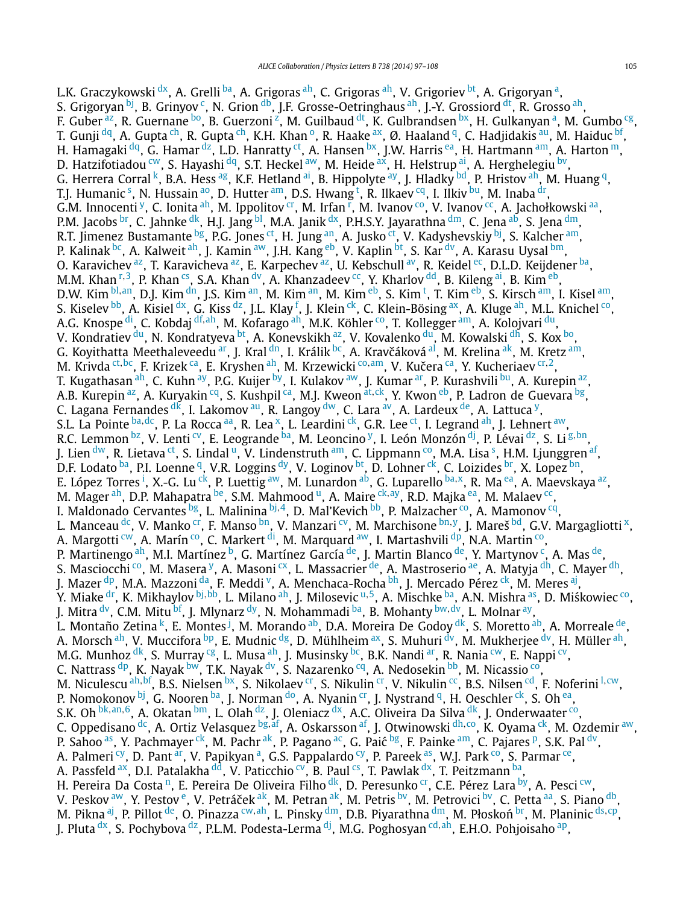L.K. Graczykowski <sup>dx</sup>, A. Grelli <sup>ba</sup>, A. Grigoras <sup>ah</sup>, C. Grigoras <sup>ah</sup>, V. Grigoriev <sup>bt</sup>, A. Grigoryan <sup>a</sup>, S. Grigoryan [bj,](#page-10-0) B. Grinyov<sup>c</sup>, N. Grion [db,](#page-11-0) J.F. Grosse-Oetringhaus [ah,](#page-10-0) J.-Y. Grossiord [dt,](#page-11-0) R. Grosso ah, F. Guber<sup>az</sup>, R. Guernane [bo,](#page-10-0) B. Guerzoni<sup>z</sup>, M. Guilbaud [dt,](#page-11-0) K. Gulbrandsen [bx,](#page-10-0) H. Gulkanyan <sup>a</sup>, M. Gumbo <sup>[cg](#page-10-0)</sup>, T. Gunji <sup>dq</sup>, A. Gupta <sup>ch</sup>, R. Gupta <sup>ch</sup>, K.H. Khan <sup>o</sup>, R. Haake <sup>ax</sup>, Ø. Haaland <sup>q</sup>, C. Hadjidakis <sup>[au](#page-10-0)</sup>, M. Haiduc <sup>bf</sup>, H. Hamagaki <sup>dq</sup>, G. Hamar [dz,](#page-11-0) L.D. Hanratty [ct,](#page-11-0) A. Hansen [bx,](#page-10-0) J.W. Harris [ea,](#page-11-0) H. Hartmann [am,](#page-10-0) A. Harton [m,](#page-9-0) D. Hatzifotiadou CW, S. Hayashi [dq,](#page-11-0) S.T. Heckel [aw,](#page-10-0) M. Heide [ax,](#page-10-0) H. Helstrup [ai](#page-10-0), A. Herghelegiu [bv,](#page-10-0) G. Herrera Corral [k,](#page-9-0) B.A. Hess  $\frac{dg}{dS}$ , K.F. Hetland  $\frac{di}{dS}$ , B. Hippolyte  $\frac{dy}{dS}$ , J. Hladky  $\frac{bd}{dS}$ , P. Hristov  $\frac{dh}{dS}$ , M. Huang  $\frac{q}{dS}$ , T.J. Humanic <[s](#page-10-0)up>s</sup>, N. Hussain <sup>ao</sup>, D. Hu[t](#page-10-0)ter <sup>am</sup>, D.S. Hwang <sup>t</sup>, R. Ilkaev <sup>cq</sup>, I. Ilkiv <sup>bu</sup>, M. Inaba <sup>[dr](#page-11-0)</sup>, G.M. Innocenti <sup>y</sup>, C. Ionita <sup>ah</sup>, M. Ippolitov <sup>c[r](#page-10-0)</sup>, M. Irfan <sup>r</sup>, M. Ivanov <sup>co</sup>, V. Ivanov <sup>cc</sup>, A. Jachołkowski <sup>aa</sup>, P.M. Jacobs <sup>br</sup>, C. Jahnke <sup>dk</sup>, H.J. Jang <sup>bl</sup>, M.A. Janik <sup>dx</sup>, P.H.S.Y. Jayarathna <sup>dm</sup>, C. Jena <sup>ab</sup>, S. Jena <sup>dm</sup>, R.T. Jimenez Bustamante <sup>bg</sup>, P.G. Jones <sup>ct</sup>, H. Jung <sup>an</sup>, A. Jusko <sup>ct</sup>, V. Kadyshevskiy <sup>[bj](#page-10-0)</sup>, S. Kalcher <sup>am</sup>, P. Kalinak <sup>bc</sup>, A. Kalweit <sup>ah</sup>, J. Kamin <sup>[aw](#page-10-0)</sup>, J.H. Kang <sup>eb</sup>, V. Kaplin <sup>bt</sup>, S. Kar <sup>dv</sup>, A. Karasu Uysal <sup>bm</sup>, O. Karavichev [az,](#page-10-0) T. Karavicheva [az](#page-10-0), E. Karpechev az, U. Kebschull [av,](#page-10-0) R. Keidel [ec,](#page-11-0) D.L.D. Keijdener [ba,](#page-10-0) M.M. Khan <sup>[r](#page-10-0),3</sup>, P. Khan <sup>cs</sup>, S.A. Khan <sup>dv</sup>, A. Khanzadeev <sup>cc</sup>, Y. Kharlov <sup>dd</sup>, B. Kileng <sup>ai</sup>, B. Kim <sup>eb</sup>, D.W. Kim <sup>[bl](#page-10-0),an</sup>, D.J. Kim <sup>dn</sup>, J.S. Kim <sup>an</sup>, M. Kim <sup>an</sup>, M. Kim <sup>[eb](#page-11-0)</sup>, S. Kim <sup>[t](#page-10-0)</sup>, T. Kim <sup>eb</sup>, S. Kirsch <sup>am</sup>, I. Kisel <sup>am</sup>, S. Kiselev <sup>bb</sup>, A. Kisiel <sup>dx</sup>, G. Kiss <sup>dz</sup>, J.L. Klay <sup>[f](#page-9-0)</sup>, J. Klein <sup>ck</sup>, C. Klein-Bösing <sup>ax</sup>, A. Kluge <sup>ah</sup>, M.L. Knichel <sup>co</sup>, A.G. Knospe <sup>di</sup>, C. Kobdaj <sup>[df](#page-11-0),[ah](#page-10-0)</sup>, M. Kofarago <sup>ah</sup>, M.K. Köhler <sup>[co](#page-11-0)</sup>, T. Kollegger <sup>am</sup>, A. Kolojvari <sup>du</sup>, V. Kondratiev <sup>[du](#page-11-0)</sup>, N. Kondratyeva <sup>bt</sup>, A. Konevskikh <sup>az</sup>, V. Kovalenko <sup>du</sup>, M. Kowalski <sup>dh</sup>, S. Kox <sup>bo</sup>, G. Koyithatta Meethaleveedu [ar,](#page-10-0) J. Kral [dn,](#page-11-0) I. Králik [bc,](#page-10-0) A. Kravčáková [al,](#page-10-0) M. Krelina [ak,](#page-10-0) M. Kretz [am,](#page-10-0) M. Krivda <sup>[ct](#page-11-0),[bc](#page-10-0)</sup>, F. Krizek <sup>ca</sup>, E. Kryshen <sup>ah</sup>, M. Krzewicki <sup>[co](#page-11-0),am</sup>, V. Kučera <sup>ca</sup>, Y. Kucheriaev <sup>[cr](#page-11-0), 2</sup>, T. Kugathasan <sup>ah</sup>, C. Kuhn <sup>ay</sup>, P.G. Kuijer <sup>[by](#page-10-0)</sup>, I. Kulakov <sup>[aw](#page-10-0)</sup>, J. Kumar <sup>ar</sup>, P. Kurashvili <sup>bu</sup>, A. Kurepin <sup>az</sup>, A.B. Kurepin <sup>[az](#page-10-0)</sup>, A. Kuryakin<sup>cq</sup>, S. Kushpil<sup>ca</sup>, M.J. Kweon [at](#page-10-0), [ck,](#page-10-0) Y. Kwon <sup>eb</sup>, P. Ladron de Guevara <sup>bg</sup>, C. Lagana Fernandes  $d\vec{k}$ , I. Lakomov  $d\vec{u}$ , R. Langoy  $d\vec{w}$ , C. Lara  $d\vec{v}$ , A. Lardeux  $d\vec{e}$ , A. Lattuca  $\vec{y}$ , S.L. La Pointe <sup>[ba](#page-10-0), dc</sup>, P. La Rocca <sup>aa</sup>, R. Lea <sup>x</sup>, L. Leardini <sup>ck</sup>, G.R. Lee <sup>ct</sup>, I. Legrand <sup>ah</sup>, J. Lehnert <sup>[aw](#page-10-0)</sup>, R.C. Lemmon <sup>bz</sup>, V. Lenti <sup>cv</sup>, E. Leogrande <sup>[ba](#page-10-0)</sup>, M. Leoncino <sup>y</sup>, I. León Monzón <sup>dj</sup>, P. Lévai <sup>dz</sup>, S. Li <sup>[g](#page-9-0), bn</sup>, J. Lien <sup>dw</sup>, R. Lietava <sup>[ct](#page-11-0)</[s](#page-10-0)up>, S. Lindal <sup>u</sup>, V. Lindenstruth <sup>am</sup>, C. Lippmann <sup>co</sup>, M.A. Lisa <sup>s</sup>, H.M. Ljunggren <sup>af</sup>, D.F. Lodato  $^{ba}$ , P.I. Loenne [q,](#page-10-0) V.R. Loggins  $^{dy}$ , V. Loginov  $^{bt}$ , D. Lohner  $^{ck}$ , C. Loizides  $^{br}$  $^{br}$  $^{br}$ , X. Lopez  $^{bn}$  $^{bn}$  $^{bn}$ , E. López Torres <sup>[i](#page-9-0)</sup>, X.-G. Lu <sup>[ck](#page-10-0)</sup>, P. Luettig <sup>aw</sup>, M. Lunardon <sup>ab</sup>, G. Luparello <sup>[ba](#page-10-0),x</sup>, R. Ma <sup>ea</sup>, A. Maevskaya <sup>az</sup>, M. Mager <sup>[ah](#page-10-0)</sup>, D.P. Mahapatra <sup>be</sup>, S.M. Mahmood <sup>u</sup>, A. Maire <sup>[ck](#page-10-0), ay</sup>, R.D. Majka <sup>ea</sup>, M. Malaev <sup>cc</sup>, I. Maldonado Cervantes <sup>[bg](#page-10-0)</sup>, L. Malinina [bj](#page-10-0), [4,](#page-11-0) D. Mal'Kevich [bb,](#page-10-0) P. Malzacher <sup>co</sup>, A. Mamonov <sup>cq</sup>, L. Manceau <sup>dc</sup>, V. Manko <sup>cr</sup>, F. Manso <sup>bn</sup>, V. Manzari <sup>cv</sup>, M. Marchisone <sup>[bn,](#page-10-0) y</sup>, J. Mareš <sup>bd</sup>, G.V. Margagliotti<sup>[x](#page-10-0)</sup>, A. Margotti CW, A. Marín CO, C. Markert [di,](#page-11-0) M. Marquard [aw,](#page-10-0) I. Martashvili [dp,](#page-11-0) N.A. Martin CO, P. Martinengo [ah](#page-10-0), M.I. Martínez [b,](#page-9-0) G. Martínez García [de,](#page-11-0) J. Martin Blanco de, Y. Martynov<sup>c</sup>, A. Mas de, S. Masciocchi <sup>co</sup>, M. Masera <sup>y</sup>, A. Masoni Cx, L. Massacrier <sup>de</sup>, A. Mastroserio <sup>ae</sup>, A. Matyja <sup>[dh](#page-11-0)</sup>, C. Mayer <sup>dh</sup>, J. Mazer <sup>dp</sup>, M.A. Mazzoni <sup>da</sup>, F. Meddi <sup>[v](#page-10-0)</sup>, A. Menchaca-Rocha [bh,](#page-10-0) J. Mercado Pérez <sup>ck</sup>, M. Meres <sup>aj</sup>, Y. Miake <sup>dr</sup>, K. Mikhaylov <sup>[bj](#page-10-0),bb</s[u](#page-10-0)p>, L. Milano <sup>ah</sup>, J. Milosevic <sup>u,5</sup>, A. Mischke <sup>ba</sup>, A.N. Mishra <sup>as</sup>, D. Miśkowiec <sup>co</sup>, J. Mitra <sup>dv</sup>, C.M. Mitu <sup>bf</sup>, J. Mlynarz <sup>dy</sup>, N. Mohammadi <sup>ba</sup>, B. Mohanty <sup>[bw](#page-10-0),dv</sup>, L. Molnar <sup>[ay](#page-10-0)</sup>, L. Montaño Zetina <sup>k</sup>, E. Montes <sup>[j](#page-9-0)</sup>, M. Morando <sup>ab</sup>, D.A. Moreira De Godoy <sup>dk</sup>, S. Moretto <sup>ab</sup>, A. Morreale <sup>de</sup>, A. Morsch <sup>ah</sup>, V. Muccifora <sup>bp</sup>, E. Mudnic <sup>dg</sup>, D. Mühlheim <sup>ax</sup>, S. Muhuri <sup>dv</sup>, M. Mukherjee <sup>dv</sup>, H. Müller <sup>ah</sup>, M.G. Munhoz <sup>dk</sup>, S. Murray <sup>cg</sup>, L. Musa <sup>[ah](#page-10-0)</sup>, J. Musinsky <sup>bc</sup>, B.K. Nandi <sup>ar</sup>, R. Nania <sup>cw</sup>, E. Nappi <sup>cv</sup>, C. Nattrass  $dp$ , K. Nayak [bw,](#page-10-0) T.K. Nayak  $dv$ , S. Nazarenko  $cq$ , A. Nedosekin  $bb$ , M. Nicassio  $\frac{c_0}{c}$ , M. Niculescu <sup>[ah](#page-10-0), bf</sup>, B.S. Nie[l](#page-9-0)sen <sup>bx</sup>, S. Nikolaev <sup>cr</sup>, S. Nikulin <sup>cr</sup>, V. Nikulin <sup>cc</sup>, B.S. Nilsen <sup>cd</sup>, F. Noferini <sup>l,cw</sup>, P. Nomokonov <sup>bj</sup>, G. Nooren <sup>ba</sup>, J. Norman <sup>do</sup>, A. Nyanin <sup>cr</sup>, J. Nystrand <sup>q</sup>, H. Oeschler <sup>ck</sup>, S. Oh <sup>ea</sup>, S.K. Oh<sup>.[bk](#page-10-0),[an](#page-10-0),6</sup>, A. Okatan <sup>bm</sup>, L. Olah <sup>dz</sup>, J. Oleniacz <sup>dx</sup>, A.C. Oliveira Da Silva <sup>dk</sup>, J. Onderwaater <sup>co</sup>, C. Oppedisano <sup>dc</sup>, A. Ortiz Velasquez [bg](#page-10-0), [af,](#page-10-0) A. Oskarsson af, J. Otwinowski [dh](#page-11-0),[co,](#page-11-0) K. Oyama [ck,](#page-10-0) M. Ozdemir [aw](#page-10-0), e. Oppeursano et al. Oruz verasquez of the Oskarsson et al. Ouwnowski et al. Oyania et al. Ozdei P. Sahoo [as,](#page-10-0) Y. Pachmayer [ck,](#page-10-0) M. Pachr [ak,](#page-10-0) P. Pagano [ac](#page-10-0), G. Paic<sup>bg</sup>, F. Painke [am,](#page-10-0) C. Pajares P. S.K. Pal [dv,](#page-11-0) A. Palmeri<sup>[cy](#page-11-0)</sup>, D. Pant<sup>ar</sup>, V. Papikyan<sup>a</sup>, G.S. Pappalardo Cy, P. Pareek [as,](#page-10-0) W.J. Park Co, S. Parmar Ce, A. Passfeld  $ax$ , D.I. Patalakha  $\frac{dd}{dx}$  $\frac{dd}{dx}$  $\frac{dd}{dx}$ , V. Paticchio  $cy$ , B. Paul  $cs$ , T. Pawlak  $dx$ , T. Peitzmann  $ba$ , H. Pereira Da Costa<sup>[n](#page-10-0)</sup>, E. Pereira De Oliveira Filho<sup>dk</sup>, D. Peresunko<sup>cr</sup>, C.E. Pérez Lara [by,](#page-10-0) A. Pesci<sup>cw</sup>, V. Peskov<sup>aw</sup>, Y. Pestov<sup>e</sup>, V. Petráček <sup>ak</sup>, M. Petran [ak,](#page-10-0) M. Petris [bv,](#page-10-0) M. Petrovici bv, C. Petta [aa,](#page-10-0) S. Piano <sup>db</sup>, M. Pikna [aj](#page-10-0), P. Pillot <sup>de</sup>, O. Pinazza <sup>[cw](#page-11-0),ah</sup>, L. Pinsky <sup>dm</sup>, D.B. Piyarathna [dm,](#page-11-0) M. Płoskoń <sup>[br](#page-10-0)</sup>, M. Planinic [ds](#page-11-0),[cp,](#page-11-0) J. Pluta [dx,](#page-11-0) S. Pochybova [dz,](#page-11-0) P.L.M. Podesta-Lerma [dj,](#page-11-0) M.G. Poghosyan [cd](#page-10-0)*,*[ah,](#page-10-0) E.H.O. Pohjoisaho [ap,](#page-10-0)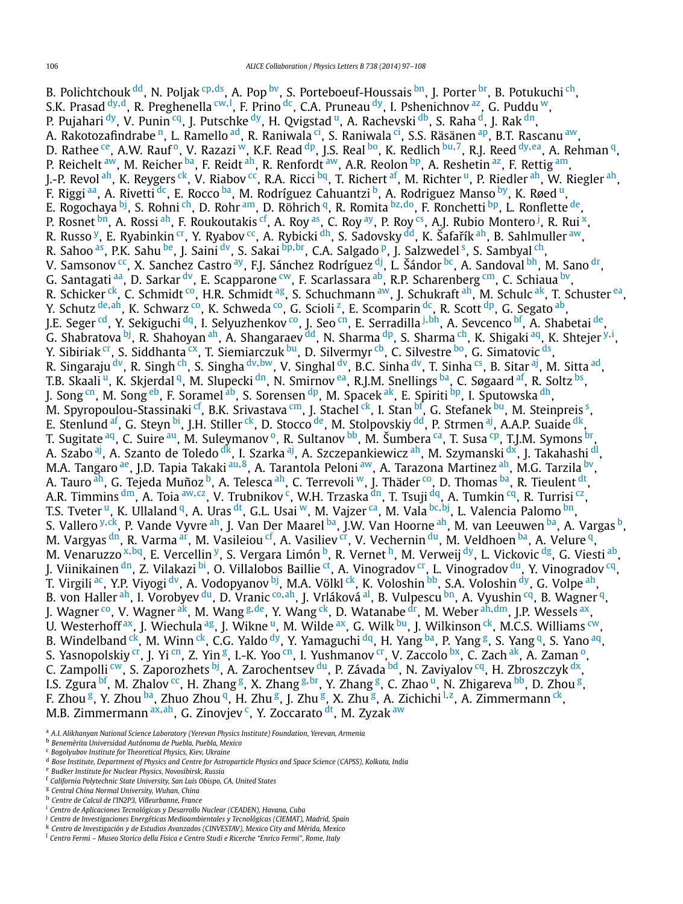<span id="page-9-0"></span>B. Polichtchouk <sup>dd</sup>, N. Poljak <sup>[cp](#page-11-0),ds</sup>, A. Pop <sup>[bv](#page-10-0)</sup>, S. Porteboeuf-Houssais <sup>bn</sup>, J. Porter <sup>br</sup>, B. Potukuchi <sup>ch</sup>, S.K. Prasad <sup>[dy](#page-11-0),d</sup>, R. Preghenella <sup>[cw](#page-11-0),l</sup>, F. Prino <sup>dc</sup>, C.A. Pruneau <sup>dy</sup>, I. Pshenichnov <sup>az</sup>, G. Puddu <sup>w</sup>, P. Pujahari <sup>[dy](#page-11-0)</sup>, V. Punin <sup>cq</sup>, J. Putschke <sup>dy</sup>, H. Qvigstad <sup>u</sup>, A. Rachevski <sup>db</sup>, S. Raha <sup>d</sup>, J. Rak <sup>dn</sup>, A. Rakotozafindrabe <sup>n</sup>, L. Ramello <sup>ad</sup>, R. Raniwala <sup>ci</sup>, S. Raniwala <sup>ci</sup>, S.S. Räsänen <sup>ap</sup>, B.T. Rascanu <sup>aw</sup>, D. Rathee <sup>ce</sup>, A.W. Rauf<sup>o</sup>, V. Razazi <sup>w</sup>, K.F. Read <sup>dp</sup>, J.S. Real <sup>bo</sup>, K. Redlich <sup>[bu](#page-10-0), 7</sup>, R.J. Reed <sup>[dy](#page-11-0),ea</sup>, A. Rehman <sup>q</sup>, P. Reichelt [aw](#page-10-0), M. Reicher [ba,](#page-10-0) F. Reidt [ah,](#page-10-0) R. Renfordt [aw,](#page-10-0) A.R. Reolon <sup>[bp](#page-10-0)</sup>, A. Reshetin [az,](#page-10-0) F. Rettig [am,](#page-10-0) J.-P. Revol <sup>ah</sup>, K. Reygers <sup>ck</sup>, V. Riabov <sup>cc</sup>, R.A. Ricci <sup>bq</sup>, T. Richert <sup>af</sup>, M. Richter <sup>u</sup>, P. Riedler <sup>ah</sup>, W. Riegler <sup>ah</sup>, F. Riggi <sup>aa</sup>, A. Rivetti <sup>dc</sup>, E. Rocco <sup>ba</sup>, M. Rodríguez Cahuantzi <sup>b</sup>, A. Rodriguez Manso <sup>[by](#page-10-0)</sup>, K. Røed <sup>u</sup>, E. Rogochaya <sup>[bj](#page-10-0)</sup>, S. Rohni <sup>ch</sup>, D. Rohr <sup>am</sup>, D. Röhrich <sup>q</sup>, R. Romita <sup>[bz](#page-10-0),[do](#page-11-0)</sup>, F. Ronchetti <sup>bp</sup>, L. Ronflette <sup>de</sup>, P. Rosnet <sup>bn</sup>, A. Rossi <sup>ah</sup>, F. Roukoutakis <sup>cf</sup>, A. Roy <sup>[as](#page-10-0)</sup>, C. Roy <sup>ay</sup>, P. Roy <sup>cs</sup>, A.J. Rubio Montero <sup>j</sup>, R. Rui <sup>x</sup>, R. Russo <sup>y</sup>, E. Ryabinkin <sup>cr</sup>, Y. Ryabov <sup>[cc](#page-10-0)</sup>, A. Rybicki <sup>dh</sup>, S. Sadovsky <sup>dd</sup>, K. Šafařík <sup>ah</sup>, B. Sahlmuller <sup>[aw](#page-10-0)</sup>, R. Sahoo <sup>as</sup>, P.K. Sahu <sup>be</sup>, J. Saini <sup>dv</sup>, S. Sakai <sup>[bp](#page-10-0),[br](#page-10-0)</[s](#page-10-0)up>, C.A. Salgado <sup>p</sup>, J. Salzwedel <sup>s</sup>, S. Sambyal <sup>ch</sup>, V. Samsonov<sup>cc</sup>, X. Sanchez Castro <sup>[ay](#page-10-0)</sup>, F.J. Sánchez Rodríguez <sup>dj</sup>, L. Šándor <sup>bc</sup>, A. Sandoval <sup>bh</sup>, M. Sano <sup>dr</sup>, G. Santagati <sup>aa</sup>, D. Sarkar <sup>dv</sup>, E. Scapparone <sup>[cw](#page-11-0)</sup>, F. Scarlassara <sup>[ab](#page-10-0)</sup>, R.P. Scharenberg <sup>cm</sup>, C. Schiaua <sup>[bv](#page-10-0)</sup>, R. Schicker <sup>ck</sup>, C. Schmidt <sup>co</sup>, H.R. Schmidt <sup>ag</sup>, S. Schuchmann <sup>[aw](#page-10-0)</sup>, J. Schukraft <sup>[ah](#page-10-0)</sup>, M. Schulc <sup>[ak](#page-10-0)</sup>, T. Schuster <sup>ea</sup>, Y. Schutz <sup>[de](#page-11-0),ah</sup>, K. Schwarz <sup>co</sup>, K. Schweda <sup>co</sup>, G. Scioli <sup>z</sup>, E. Scomparin <sup>dc</sup>, R. Scott <sup>dp</sup>, G. Segato <sup>ab</sup>, J.E. Seger <sup>cd</sup>, Y. Sekiguchi <sup>dq</sup>, I. Selyuzhenkov <sup>co</sup>, J. Seo <sup>cn</sup>, E. Serradilla <sup>j,bh</sup>, A. Sevcenco <sup>[bf](#page-10-0)</sup>, A. Shabetai <sup>de</sup>, G. Shabratova <sup>bj</sup>, R. Shahoyan <sup>ah</sup>, A. Shangaraev <sup>[dd](#page-11-0)</sup>, N. Sharma <sup>dp</sup>, S. Sharma <sup>ch</sup>, K. Shigaki <sup>aq</sup>, K. Shtejer <sup>[y](#page-10-0), i</sup>, Y. Sibiriak <sup>cr</sup>, S. Siddhanta <sup>cx</sup>, T. Siemiarczuk <sup>bu</sup>, D. Silvermyr <sup>cb</sup>, C. Silvestre <sup>[bo](#page-10-0)</sup>, G. Simatovic [ds,](#page-11-0) R. Singaraju <sup>dv</sup>, R. Singh <sup>ch</sup>, S. Singha <sup>[dv,](#page-11-0) bw</sup>, V. Singhal <sup>[dv](#page-11-0)</sup>, B.C. Sinha <sup>dv</sup>, T. Sinha <sup>cs</sup>, B. Sitar <sup>aj</sup>, M. Sitta <sup>ad</sup>, T.B. Skaali<sup>u</sup>, K. Skjerdal<sup>[q](#page-10-0)</sup>, M. Slupecki [dn,](#page-11-0) N. Smirnov [ea,](#page-11-0) R.J.M. Snellings <sup>ba</sup>, C. Søgaard <sup>af</sup>, R. Soltz <sup>bs</sup>, J. Song <sup>cn</sup>, M. Song <sup>eb</sup>, F. Soramel <sup>ab</sup>, S. Sorensen <sup>dp</sup>, M. Spacek <sup>ak</sup>, E. Spiriti <sup>[bp](#page-10-0)</sup>, I. Sputowska <sup>dh</sup>, M. Spyropoulou-Sta[s](#page-10-0)sinaki <sup>cf</sup>, B.K. Srivastava <sup>cm</sup>, J. Stachel <sup>ck</sup>, I. Stan <sup>bf</sup>, G. Stefanek <sup>bu</sup>, M. Steinpreis <sup>s</sup>, E. Stenlund <sup>af</sup>, G. Steyn <sup>bi</sup>, J.H. Stiller <sup>ck</sup>, D. Stocco <sup>de</sup>, M. Stolpovskiy <sup>dd</sup>, P. Strmen <sup>[aj](#page-10-0)</sup>, A.A.P. Suaide <sup>[dk](#page-11-0)</sup>, T. Sugitate <sup>aq</sup>, C. Suire <sup>au</sup>, M. Suleymanov<sup>o</sup>, R. Sultanov [bb,](#page-10-0) M. Šumbera <sup>ca</sup>, T. Susa <sup>cp</sup>, T.J.M. Symons <sup>br</sup>, A. Szabo<sup>aj</sup>, A. Szanto de Toledo <sup>dk</sup>, I. Szarka [aj,](#page-10-0) A. Szczepankiewicz <sup>ah</sup>, M. Szymanski [dx,](#page-11-0) J. Takahashi [dl,](#page-11-0) M.A. Tangaro <sup>ae</sup>, J.D. Tapia Takaki <sup>[au](#page-10-0),8</sup>, A. Tarantola Peloni <sup>aw</sup>, A. Tarazona Martinez <sup>ah</sup>, M.G. Tarzila <sup>bv</sup>, A. Tauro <sup>ah</sup>, G. Tejeda Muñoz <sup>b</sup>, A. Telesca <sup>ah</sup>, C. Terrevoli <sup>w</sup>, J. Thäder <sup>co</sup>, D. Thomas <sup>ba</sup>, R. Tieulent <sup>dt</sup>, A.R. Timmins [dm,](#page-11-0) A. Toia [aw](#page-10-0), [cz,](#page-11-0) V. Trubnikov c, W.H. Trzaska [dn](#page-11-0), T. Tsuji [dq,](#page-11-0) A. Tumkin [cq,](#page-11-0) R. Turrisi [cz](#page-11-0), T.S. Tveter [u,](#page-10-0) K. Ullaland [q,](#page-10-0) A. Uras [dt,](#page-11-0) G.L. Usai [w,](#page-10-0) M. Vajzer [ca,](#page-10-0) M. Vala [bc](#page-10-0)*,*[bj,](#page-10-0) L. Valencia Palomo [bn,](#page-10-0) S. Vallero <sup>[y](#page-10-0), [ck](#page-10-0)</sup>, P. Vande Vyvre <sup>ah</sup>, J. Van Der Maarel <sup>ba</sup>, J.W. Van Hoorne <sup>ah</sup>, M. van Leeuwen <sup>ba</sup>, A. Vargas <sup>b</sup>, M. Vargyas [dn,](#page-11-0) R. Varma [ar,](#page-10-0) M. Vasileiou [cf,](#page-10-0) A. Vasiliev [cr,](#page-11-0) V. Vechernin [du,](#page-11-0) M. Veldhoen <sup>ba</sup>, A. Velure [q](#page-10-0), M. Varma ar, M. Vasileiou cf, A. Vasiliev cr, V. Vechernin du, M. Veldhoen <sup>ba</sup>, A. Velure q, M. Venaruzzo <sup>[x](#page-10-0),bq</sup>, E. Vercellin <sup>y</sup>, S. Vergara Limón <sup>b</sup>, R. Vernet <sup>h</sup>, M. Verweij <sup>dy</sup>, L. Vickovic <sup>dg</sup>, G. Viesti <sup>ab</sup>, J. Viinikainen <sup>dn</sup>, Z. Vilakazi <sup>bi</sup>, O. Villalobos Baillie <sup>ct</sup>, A. Vinogradov <sup>cr</sup>, L. Vinogradov <sup>[du](#page-11-0)</sup>, Y. Vinogradov <sup>cq</sup>, T. Virgili <sup>ac</sup>, Y.P. Viyogi <sup>dv</sup>, A. Vodopyanov <sup>bj</sup>, M.A. Völkl <sup>[ck](#page-10-0)</sup>, K. Voloshin <sup>bb</sup>, S.A. Voloshin <sup>dy</sup>, G. Volpe <sup>[ah](#page-10-0)</sup>, B. von Haller <sup>ah</sup>, I. Vorobyev <sup>[du](#page-11-0)</sup>, D. Vranic <sup>[co](#page-11-0),ah</sup>, J. Vrláková <sup>[al](#page-10-0)</sup>, B. Vulpescu <sup>bn</sup>, A. Vyushin <sup>cq</sup>, B. Wagner <sup>q</sup>, J. Wagner <sup>co</sup>, V. Wagner <sup>ak</sup>, M. Wang <sup>g, [de](#page-11-0)</sup>, Y. Wang <sup>[ck](#page-10-0)</sup>, D. Watanabe <sup>dr</sup>, M. Weber <sup>[ah](#page-10-0), dm</sup>, J.P. Wessels <sup>ax</sup>, U. Westerhoff<sup>[ax](#page-10-0)</sup>, J. Wiechula <sup>ag</sup>, J. Wikne <sup>u</sup>, M. Wilde <sup>ax</sup>, G. Wilk <sup>bu</sup>, J. Wilkinson Ck, M.C.S. Williams CW B. Windelband Ck, M. Winn Ck, C.G. Yaldo <sup>dy</sup>, Y. Yamaguchi <sup>d[q](#page-10-0)</sup>, H. Yang <sup>ba</sup>, P. Yang <sup>g</sup>, S. Yang <sup>q</sup>, S. Yano <sup>aq</sup>, S. Yasnopolskiy  $\rm cr$ , J. Yi  $\rm cn$ , Z. Yin  $\rm g$ , I.-K. Yoo  $\rm cn$ , I. Yushmanov  $\rm cr$ , V. Zaccolo  $\rm ^{bx}$ , C. Zach  $\rm ^{ak}$ , A. Zaman  $\rm ^o$ , C. Zampolli CW, S. Zaporozhets [bj,](#page-10-0) A. Zarochentsev [du,](#page-11-0) P. Závada [bd,](#page-10-0) N. Zaviyalov Cq, H. Zbroszczyk [dx,](#page-11-0) I.S. Zgura <sup>bf</sup>, M. Zhalov <sup>cc</sup>, H. Zhang <sup>g</sup>, X. Zhang <sup>g, br</sup>, Y. Zhang <sup>g</sup>, C. Zhao <sup>u</sup>, N. Zhigareva <sup>bb</sup>, D. Zhou <sup>g</sup>, F. Zhou g, Y. Zhou <sup>ba</sup>, Zhuo Zhou [q,](#page-10-0) H. Zhu g, J. Zhu g, X. Zhu g, A. Zichichi <sup>1, z</sup>, A. Zimmermann [ck,](#page-10-0) M.B. Zimmermann [ax](#page-10-0), [ah,](#page-10-0) G. Zinovjev<sup>c</sup>, Y. Zoccarato <sup>dt</sup>, M. Zyzak [aw](#page-10-0)

<sup>a</sup> *A.I. Alikhanyan National Science Laboratory (Yerevan Physics Institute) Foundation, Yerevan, Armenia*

<sup>b</sup> *Benemérita Universidad Autónoma de Puebla, Puebla, Mexico*

<sup>c</sup> *Bogolyubov Institute for Theoretical Physics, Kiev, Ukraine*

<sup>&</sup>lt;sup>d</sup> Bose Institute, Department of Physics and Centre for Astroparticle Physics and Space Science (CAPSS), Kolkata, India

<sup>e</sup> *Budker Institute for Nuclear Physics, Novosibirsk, Russia*

<sup>f</sup> *California Polytechnic State University, San Luis Obispo, CA, United States*

<sup>g</sup> *Central China Normal University, Wuhan, China*

<sup>h</sup> *Centre de Calcul de l'IN2P3, Villeurbanne, France*

<sup>i</sup> *Centro de Aplicaciones Tecnológicas y Desarrollo Nuclear (CEADEN), Havana, Cuba*

<sup>j</sup> *Centro de Investigaciones Energéticas Medioambientales y Tecnológicas (CIEMAT), Madrid, Spain*

<sup>k</sup> *Centro de Investigación y de Estudios Avanzados (CINVESTAV), Mexico City and Mérida, Mexico*

<sup>l</sup> *Centro Fermi – Museo Storico della Fisica e Centro Studi e Ricerche "Enrico Fermi", Rome, Italy*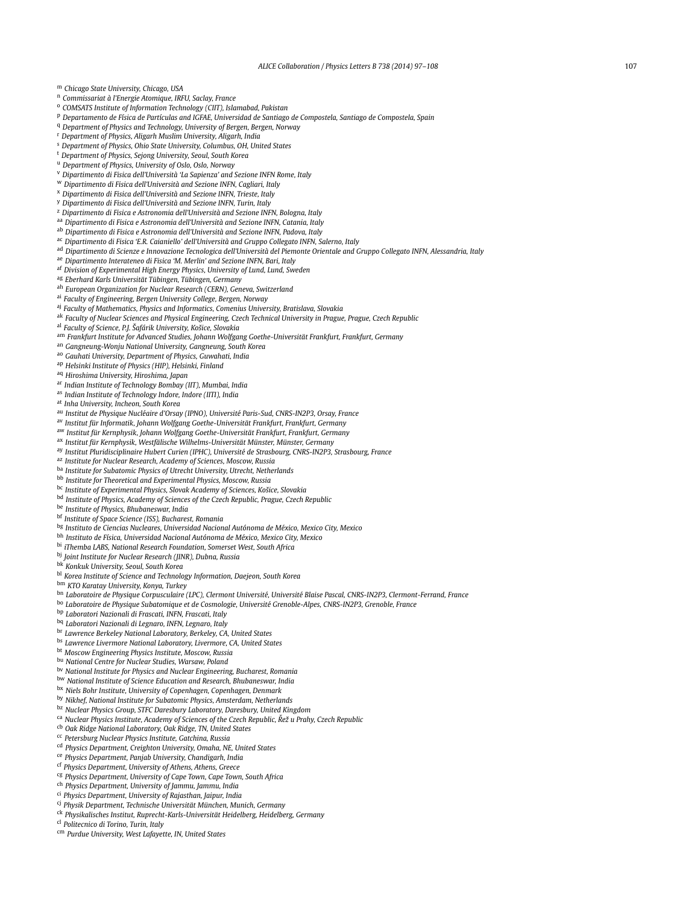<span id="page-10-0"></span><sup>m</sup> *Chicago State University, Chicago, USA*

- <sup>n</sup> *Commissariat à l'Energie Atomique, IRFU, Saclay, France*
- <sup>o</sup> *COMSATS Institute of Information Technology (CIIT), Islamabad, Pakistan*
- <sup>p</sup> Departamento de Física de Partículas and IGFAE, Universidad de Santiago de Compostela, Santiago de Compostela, Spain
- <sup>q</sup> *Department of Physics and Technology, University of Bergen, Bergen, Norway*
- <sup>r</sup> *Department of Physics, Aligarh Muslim University, Aligarh, India*
- <sup>s</sup> *Department of Physics, Ohio State University, Columbus, OH, United States*
- <sup>t</sup> *Department of Physics, Sejong University, Seoul, South Korea*
- <sup>u</sup> *Department of Physics, University of Oslo, Oslo, Norway*
- <sup>v</sup> *Dipartimento di Fisica dell'Università 'La Sapienza' and Sezione INFN Rome, Italy*
- <sup>w</sup> *Dipartimento di Fisica dell'Università and Sezione INFN, Cagliari, Italy*
- <sup>x</sup> *Dipartimento di Fisica dell'Università and Sezione INFN, Trieste, Italy*
- <sup>y</sup> *Dipartimento di Fisica dell'Università and Sezione INFN, Turin, Italy*
- <sup>z</sup> *Dipartimento di Fisica e Astronomia dell'Università and Sezione INFN, Bologna, Italy*
- aa *Dipartimento di Fisica e Astronomia dell'Università and Sezione INFN, Catania, Italy*
- ab *Dipartimento di Fisica e Astronomia dell'Università and Sezione INFN, Padova, Italy*
- ac *Dipartimento di Fisica 'E.R. Caianiello' dell'Università and Gruppo Collegato INFN, Salerno, Italy*
- ad Dipartimento di Scienze e Innovazione Tecnologica dell'Università del Piemonte Orientale and Gruppo Collegato INFN, Alessandria, Italy
- ae *Dipartimento Interateneo di Fisica 'M. Merlin' and Sezione INFN, Bari, Italy*
- af *Division of Experimental High Energy Physics, University of Lund, Lund, Sweden*
- ag *Eberhard Karls Universität Tübingen, Tübingen, Germany*
- ah *European Organization for Nuclear Research (CERN), Geneva, Switzerland*
- ai *Faculty of Engineering, Bergen University College, Bergen, Norway*
- aj *Faculty of Mathematics, Physics and Informatics, Comenius University, Bratislava, Slovakia*
- ak *Faculty of Nuclear Sciences and Physical Engineering, Czech Technical University in Prague, Prague, Czech Republic*
- al *Faculty of Science, P.J. Šafárik University, Košice, Slovakia*
- am *Frankfurt Institute for Advanced Studies, Johann Wolfgang Goethe-Universität Frankfurt, Frankfurt, Germany*
- an *Gangneung-Wonju National University, Gangneung, South Korea*
- ao *Gauhati University, Department of Physics, Guwahati, India*
- ap *Helsinki Institute of Physics (HIP), Helsinki, Finland*
- aq *Hiroshima University, Hiroshima, Japan*
- ar *Indian Institute of Technology Bombay (IIT), Mumbai, India*
- as *Indian Institute of Technology Indore, Indore (IITI), India*
- at *Inha University, Incheon, South Korea*
- au *Institut de Physique Nucléaire d'Orsay (IPNO), Université Paris-Sud, CNRS-IN2P3, Orsay, France*
- av *Institut für Informatik, Johann Wolfgang Goethe-Universität Frankfurt, Frankfurt, Germany*
- aw *Institut für Kernphysik, Johann Wolfgang Goethe-Universität Frankfurt, Frankfurt, Germany*
- ax *Institut für Kernphysik, Westfälische Wilhelms-Universität Münster, Münster, Germany*
- ay *Institut Pluridisciplinaire Hubert Curien (IPHC), Université de Strasbourg, CNRS-IN2P3, Strasbourg, France*
- az *Institute for Nuclear Research, Academy of Sciences, Moscow, Russia*
- ba *Institute for Subatomic Physics of Utrecht University, Utrecht, Netherlands*
- bb *Institute for Theoretical and Experimental Physics, Moscow, Russia*
- bc *Institute of Experimental Physics, Slovak Academy of Sciences, Košice, Slovakia*
- bd *Institute of Physics, Academy of Sciences of the Czech Republic, Prague, Czech Republic*
- be *Institute of Physics, Bhubaneswar, India*
- bf *Institute of Space Science (ISS), Bucharest, Romania*
- bg *Instituto de Ciencias Nucleares, Universidad Nacional Autónoma de México, Mexico City, Mexico*
- bh *Instituto de Física, Universidad Nacional Autónoma de México, Mexico City, Mexico*
- bi *iThemba LABS, National Research Foundation, Somerset West, South Africa*
- bj *Joint Institute for Nuclear Research (JINR), Dubna, Russia*
- bk *Konkuk University, Seoul, South Korea*
- bl *Korea Institute of Science and Technology Information, Daejeon, South Korea*
- bm *KTO Karatay University, Konya, Turkey*
- bn *Laboratoire de Physique Corpusculaire (LPC), Clermont Université, Université Blaise Pascal, CNRS-IN2P3, Clermont-Ferrand, France*
- bo *Laboratoire de Physique Subatomique et de Cosmologie, Université Grenoble-Alpes, CNRS-IN2P3, Grenoble, France*
- bp *Laboratori Nazionali di Frascati, INFN, Frascati, Italy*
- bq *Laboratori Nazionali di Legnaro, INFN, Legnaro, Italy*
- br *Lawrence Berkeley National Laboratory, Berkeley, CA, United States*
- bs *Lawrence Livermore National Laboratory, Livermore, CA, United States*
- bt *Moscow Engineering Physics Institute, Moscow, Russia*
- bu *National Centre for Nuclear Studies, Warsaw, Poland*
- bv *National Institute for Physics and Nuclear Engineering, Bucharest, Romania*
- bw *National Institute of Science Education and Research, Bhubaneswar, India*
- bx *Niels Bohr Institute, University of Copenhagen, Copenhagen, Denmark*
- by *Nikhef, National Institute for Subatomic Physics, Amsterdam, Netherlands*
- bz *Nuclear Physics Group, STFC Daresbury Laboratory, Daresbury, United Kingdom*
- 
- ca *Nuclear Physics Institute, Academy of Sciences of the Czech Republic, Rež ˇ u Prahy, Czech Republic*
- cb *Oak Ridge National Laboratory, Oak Ridge, TN, United States*
- cc *Petersburg Nuclear Physics Institute, Gatchina, Russia*
- cd *Physics Department, Creighton University, Omaha, NE, United States*
- ce *Physics Department, Panjab University, Chandigarh, India*
- cf *Physics Department, University of Athens, Athens, Greece*
- cg *Physics Department, University of Cape Town, Cape Town, South Africa*
- ch *Physics Department, University of Jammu, Jammu, India*
- ci *Physics Department, University of Rajasthan, Jaipur, India*
- cj *Physik Department, Technische Universität München, Munich, Germany*
- ck *Physikalisches Institut, Ruprecht-Karls-Universität Heidelberg, Heidelberg, Germany*
- cl *Politecnico di Torino, Turin, Italy*
- cm *Purdue University, West Lafayette, IN, United States*